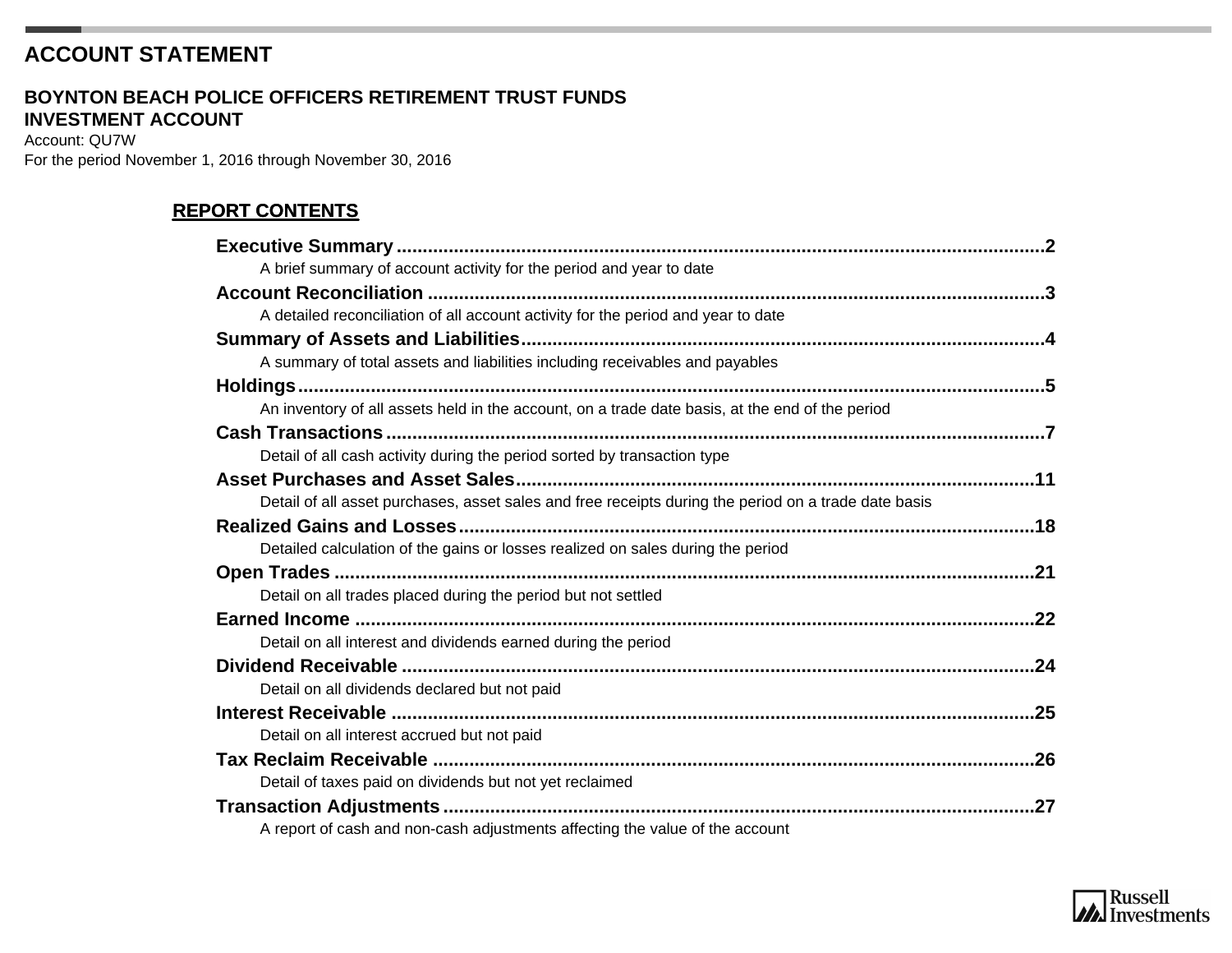# **ACCOUNT STATEMENT**

#### **INVESTMENT ACCOUNT BOYNTON BEACH POLICE OFFICERS RETIREMENT TRUST FUNDS**

Account: QU7W For the period November 1, 2016 through November 30, 2016

### **REPORT CONTENTS**

| A brief summary of account activity for the period and year to date                                  |  |
|------------------------------------------------------------------------------------------------------|--|
|                                                                                                      |  |
| A detailed reconciliation of all account activity for the period and year to date                    |  |
|                                                                                                      |  |
| A summary of total assets and liabilities including receivables and payables                         |  |
|                                                                                                      |  |
| An inventory of all assets held in the account, on a trade date basis, at the end of the period      |  |
|                                                                                                      |  |
| Detail of all cash activity during the period sorted by transaction type                             |  |
|                                                                                                      |  |
| Detail of all asset purchases, asset sales and free receipts during the period on a trade date basis |  |
|                                                                                                      |  |
| Detailed calculation of the gains or losses realized on sales during the period                      |  |
|                                                                                                      |  |
| Detail on all trades placed during the period but not settled                                        |  |
|                                                                                                      |  |
| Detail on all interest and dividends earned during the period                                        |  |
|                                                                                                      |  |
| Detail on all dividends declared but not paid                                                        |  |
|                                                                                                      |  |
| Detail on all interest accrued but not paid                                                          |  |
|                                                                                                      |  |
| Detail of taxes paid on dividends but not yet reclaimed                                              |  |
|                                                                                                      |  |
| A report of cash and non-cash adjustments affecting the value of the account                         |  |

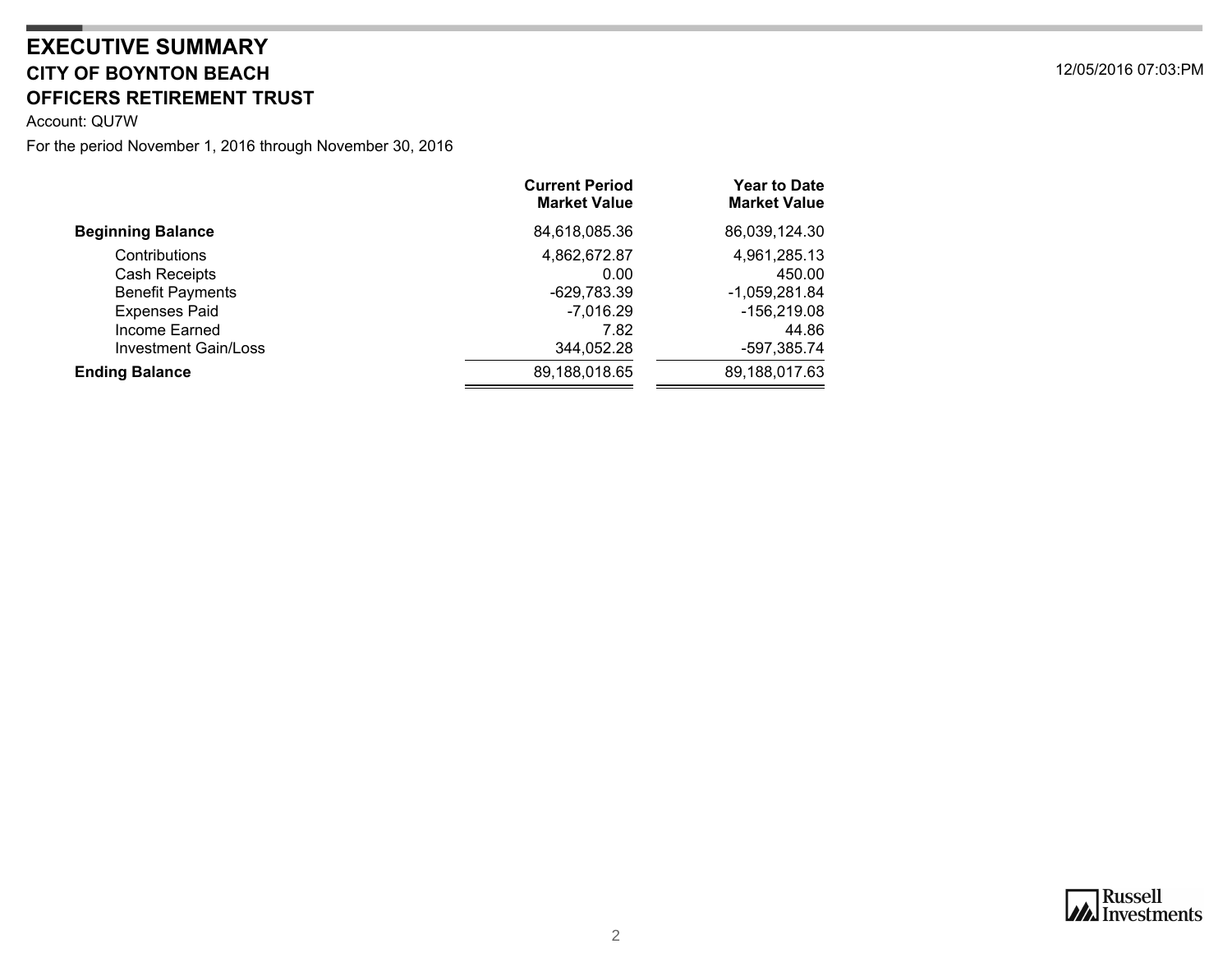## <span id="page-1-0"></span>**CITY OF BOYNTON BEACH** 12/05/2016 07:03:PM **OFFICERS RETIREMENT TRUST EXECUTIVE SUMMARY**

Account: QU7W

|                             | <b>Current Period</b><br><b>Market Value</b> | <b>Year to Date</b><br><b>Market Value</b> |
|-----------------------------|----------------------------------------------|--------------------------------------------|
| <b>Beginning Balance</b>    | 84,618,085.36                                | 86,039,124.30                              |
| Contributions               | 4,862,672.87                                 | 4,961,285.13                               |
| Cash Receipts               | 0.00                                         | 450.00                                     |
| <b>Benefit Payments</b>     | $-629,783.39$                                | $-1,059,281.84$                            |
| <b>Expenses Paid</b>        | $-7,016.29$                                  | -156,219.08                                |
| Income Earned               | 7.82                                         | 44.86                                      |
| <b>Investment Gain/Loss</b> | 344,052.28                                   | -597,385.74                                |
| <b>Ending Balance</b>       | 89,188,018.65                                | 89,188,017.63                              |
|                             |                                              |                                            |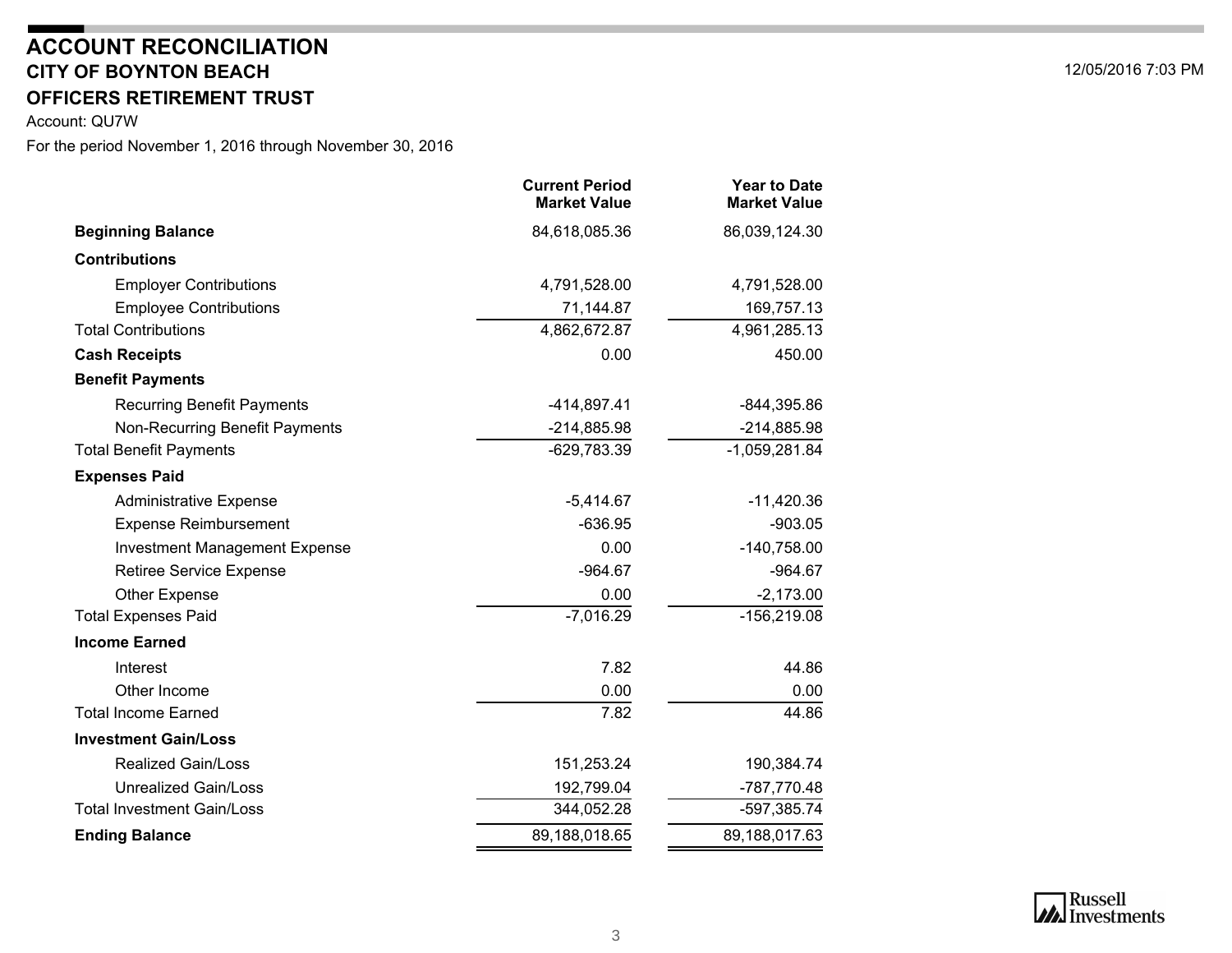### **CITY OF BOYNTON BEACHOFFICERS RETIREMENT TRUSTACCOUNT RECONCILIATION**

<span id="page-2-0"></span>Account: QU7W

|                                      | <b>Current Period</b><br><b>Market Value</b> | <b>Year to Date</b><br><b>Market Value</b> |
|--------------------------------------|----------------------------------------------|--------------------------------------------|
| <b>Beginning Balance</b>             | 84,618,085.36                                | 86,039,124.30                              |
| <b>Contributions</b>                 |                                              |                                            |
| <b>Employer Contributions</b>        | 4,791,528.00                                 | 4,791,528.00                               |
| <b>Employee Contributions</b>        | 71,144.87                                    | 169,757.13                                 |
| <b>Total Contributions</b>           | 4,862,672.87                                 | 4,961,285.13                               |
| <b>Cash Receipts</b>                 | 0.00                                         | 450.00                                     |
| <b>Benefit Payments</b>              |                                              |                                            |
| <b>Recurring Benefit Payments</b>    | $-414,897.41$                                | $-844,395.86$                              |
| Non-Recurring Benefit Payments       | $-214,885.98$                                | $-214,885.98$                              |
| <b>Total Benefit Payments</b>        | $-629,783.39$                                | $-1,059,281.84$                            |
| <b>Expenses Paid</b>                 |                                              |                                            |
| <b>Administrative Expense</b>        | $-5,414.67$                                  | $-11,420.36$                               |
| <b>Expense Reimbursement</b>         | $-636.95$                                    | $-903.05$                                  |
| <b>Investment Management Expense</b> | 0.00                                         | $-140,758.00$                              |
| <b>Retiree Service Expense</b>       | $-964.67$                                    | $-964.67$                                  |
| Other Expense                        | 0.00                                         | $-2,173.00$                                |
| <b>Total Expenses Paid</b>           | $-7,016.29$                                  | $-156,219.08$                              |
| <b>Income Earned</b>                 |                                              |                                            |
| Interest                             | 7.82                                         | 44.86                                      |
| Other Income                         | 0.00                                         | 0.00                                       |
| <b>Total Income Earned</b>           | 7.82                                         | 44.86                                      |
| <b>Investment Gain/Loss</b>          |                                              |                                            |
| <b>Realized Gain/Loss</b>            | 151,253.24                                   | 190,384.74                                 |
| <b>Unrealized Gain/Loss</b>          | 192,799.04                                   | -787,770.48                                |
| <b>Total Investment Gain/Loss</b>    | 344,052.28                                   | -597,385.74                                |
| <b>Ending Balance</b>                | 89,188,018.65                                | 89,188,017.63                              |
|                                      |                                              |                                            |

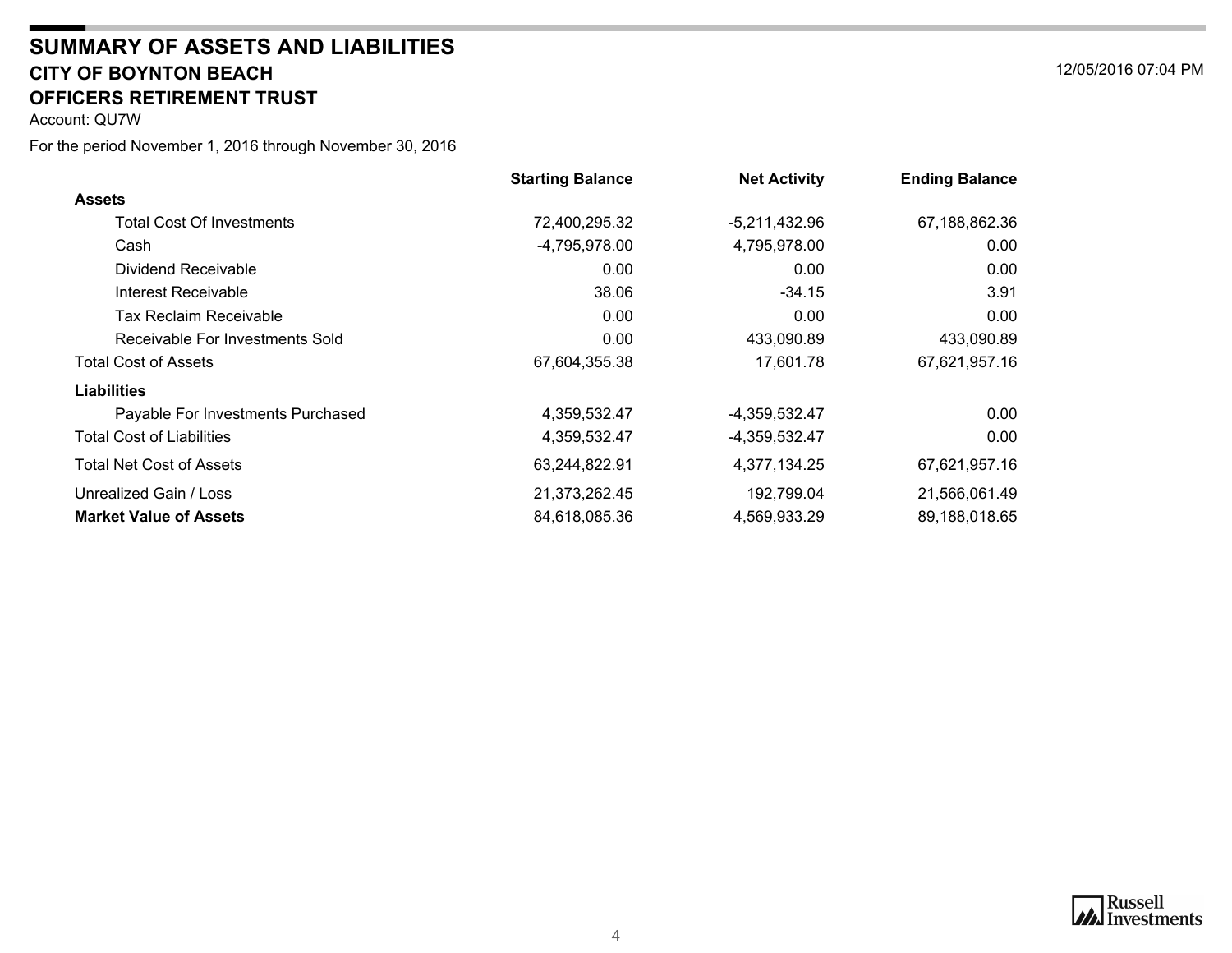#### **CITY OF BOYNTON BEACH** 12/05/2016 07:04 PM **SUMMARY OF ASSETS AND LIABILITIESOFFICERS RETIREMENT TRUST**

<span id="page-3-0"></span>Account: QU7W

|                                   | <b>Starting Balance</b> | <b>Net Activity</b> | <b>Ending Balance</b> |
|-----------------------------------|-------------------------|---------------------|-----------------------|
| <b>Assets</b>                     |                         |                     |                       |
| <b>Total Cost Of Investments</b>  | 72,400,295.32           | $-5,211,432.96$     | 67,188,862.36         |
| Cash                              | -4,795,978.00           | 4,795,978.00        | 0.00                  |
| Dividend Receivable               | 0.00                    | 0.00                | 0.00                  |
| Interest Receivable               | 38.06                   | $-34.15$            | 3.91                  |
| Tax Reclaim Receivable            | 0.00                    | 0.00                | 0.00                  |
| Receivable For Investments Sold   | 0.00                    | 433,090.89          | 433,090.89            |
| <b>Total Cost of Assets</b>       | 67,604,355.38           | 17,601.78           | 67,621,957.16         |
| <b>Liabilities</b>                |                         |                     |                       |
| Payable For Investments Purchased | 4,359,532.47            | -4,359,532.47       | 0.00                  |
| <b>Total Cost of Liabilities</b>  | 4,359,532.47            | -4,359,532.47       | 0.00                  |
| Total Net Cost of Assets          | 63,244,822.91           | 4,377,134.25        | 67,621,957.16         |
| Unrealized Gain / Loss            | 21,373,262.45           | 192,799.04          | 21,566,061.49         |
| <b>Market Value of Assets</b>     | 84,618,085.36           | 4,569,933.29        | 89,188,018.65         |



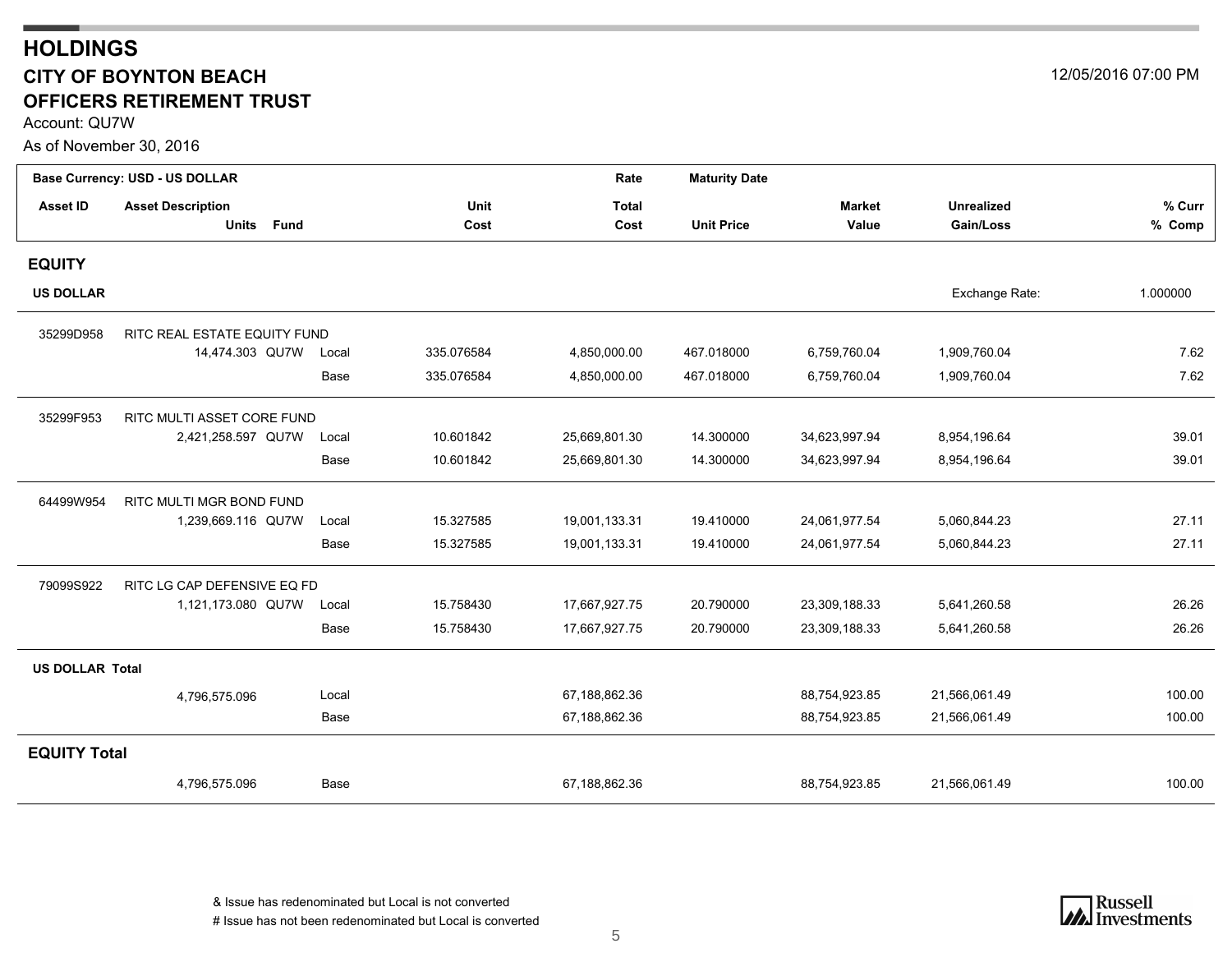### <span id="page-4-0"></span>**HOLDINGS CITY OF BOYNTON BEACH** 12/05/2016 07:00 PM **OFFICERS RETIREMENT TRUST**

Account: QU7W

As of November 30, 2016

|                        | Base Currency: USD - US DOLLAR |       |            | Rate          | <b>Maturity Date</b> |               |                   |          |
|------------------------|--------------------------------|-------|------------|---------------|----------------------|---------------|-------------------|----------|
| <b>Asset ID</b>        | <b>Asset Description</b>       |       | Unit       | <b>Total</b>  |                      | <b>Market</b> | <b>Unrealized</b> | % Curr   |
|                        | Units Fund                     |       | Cost       | Cost          | <b>Unit Price</b>    | Value         | Gain/Loss         | % Comp   |
| <b>EQUITY</b>          |                                |       |            |               |                      |               |                   |          |
| <b>US DOLLAR</b>       |                                |       |            |               |                      |               | Exchange Rate:    | 1.000000 |
| 35299D958              | RITC REAL ESTATE EQUITY FUND   |       |            |               |                      |               |                   |          |
|                        | 14,474.303 QU7W                | Local | 335.076584 | 4,850,000.00  | 467.018000           | 6,759,760.04  | 1,909,760.04      | 7.62     |
|                        |                                | Base  | 335.076584 | 4,850,000.00  | 467.018000           | 6,759,760.04  | 1,909,760.04      | 7.62     |
| 35299F953              | RITC MULTI ASSET CORE FUND     |       |            |               |                      |               |                   |          |
|                        | 2,421,258.597 QU7W             | Local | 10.601842  | 25,669,801.30 | 14.300000            | 34,623,997.94 | 8,954,196.64      | 39.01    |
|                        |                                | Base  | 10.601842  | 25,669,801.30 | 14.300000            | 34,623,997.94 | 8,954,196.64      | 39.01    |
| 64499W954              | RITC MULTI MGR BOND FUND       |       |            |               |                      |               |                   |          |
|                        | 1,239,669.116 QU7W             | Local | 15.327585  | 19,001,133.31 | 19.410000            | 24,061,977.54 | 5,060,844.23      | 27.11    |
|                        |                                | Base  | 15.327585  | 19,001,133.31 | 19.410000            | 24,061,977.54 | 5,060,844.23      | 27.11    |
| 79099S922              | RITC LG CAP DEFENSIVE EQ FD    |       |            |               |                      |               |                   |          |
|                        | 1,121,173.080 QU7W             | Local | 15.758430  | 17,667,927.75 | 20.790000            | 23,309,188.33 | 5,641,260.58      | 26.26    |
|                        |                                | Base  | 15.758430  | 17,667,927.75 | 20.790000            | 23,309,188.33 | 5,641,260.58      | 26.26    |
| <b>US DOLLAR Total</b> |                                |       |            |               |                      |               |                   |          |
|                        | 4,796,575.096                  | Local |            | 67,188,862.36 |                      | 88,754,923.85 | 21,566,061.49     | 100.00   |
|                        |                                | Base  |            | 67,188,862.36 |                      | 88,754,923.85 | 21,566,061.49     | 100.00   |
| <b>EQUITY Total</b>    |                                |       |            |               |                      |               |                   |          |
|                        | 4,796,575.096                  | Base  |            | 67,188,862.36 |                      | 88,754,923.85 | 21,566,061.49     | 100.00   |

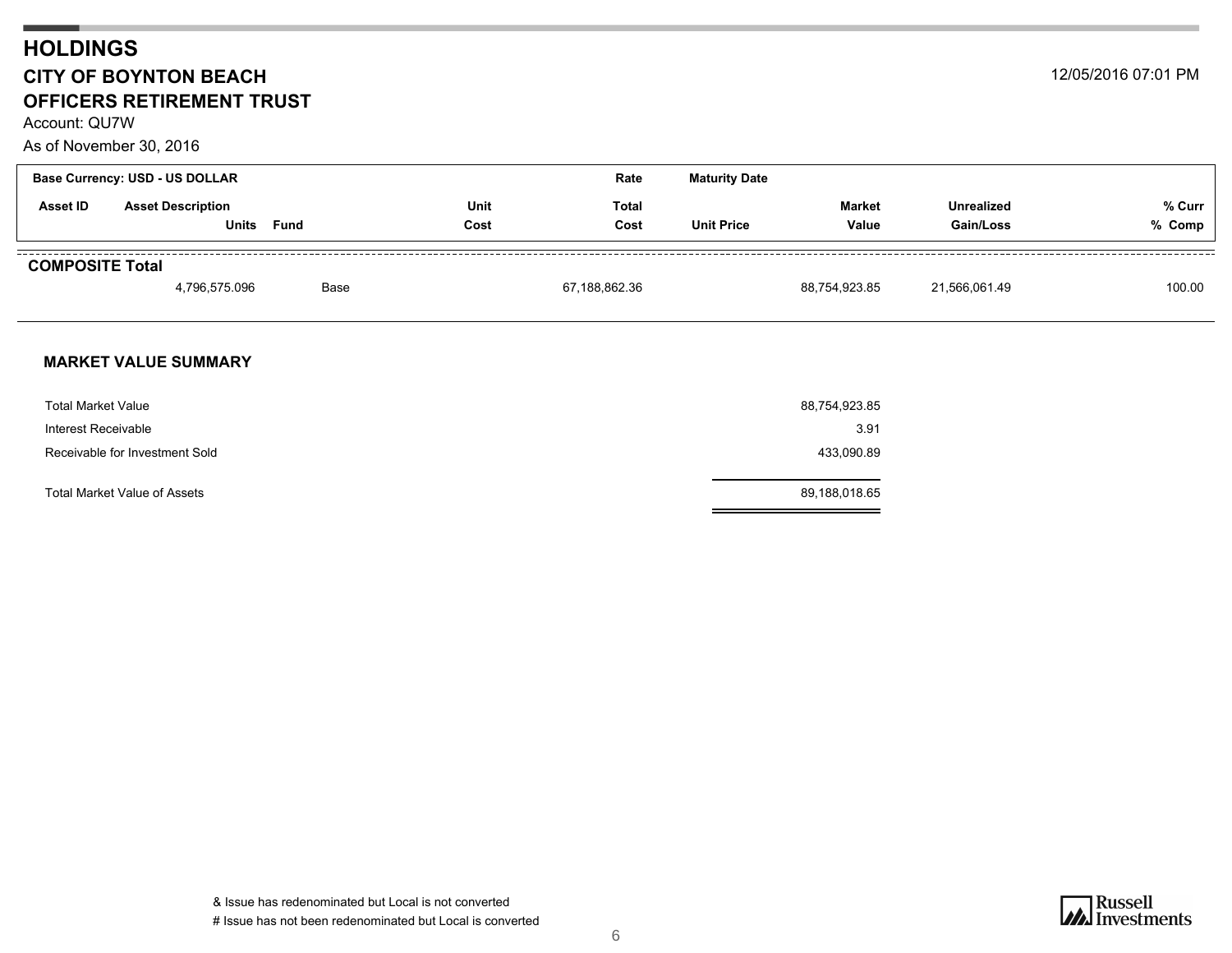### **HOLDINGS CITY OF BOYNTON BEACH** 12/05/2016 07:01 PM **OFFICERS RETIREMENT TRUST**

Account: QU7W

#### As of November 30, 2016

| <b>Base Currency: USD - US DOLLAR</b><br>Rate |                                   |      |              |               | <b>Maturity Date</b> |                        |                                |                  |
|-----------------------------------------------|-----------------------------------|------|--------------|---------------|----------------------|------------------------|--------------------------------|------------------|
| <b>Asset ID</b>                               | <b>Asset Description</b><br>Units | Fund | Unit<br>Cost | Total<br>Cost | <b>Unit Price</b>    | <b>Market</b><br>Value | <b>Unrealized</b><br>Gain/Loss | % Curr<br>% Comp |
| <b>COMPOSITE Total</b>                        | 4,796,575.096                     | Base |              | 67,188,862.36 |                      | 88,754,923.85          | 21,566,061.49                  | 100.00           |

#### **MARKET VALUE SUMMARY**

| <b>Total Market Value</b>      | 88,754,923.85 |
|--------------------------------|---------------|
| Interest Receivable            | 3.91          |
| Receivable for Investment Sold | 433,090.89    |
| Total Market Value of Assets   | 89,188,018.65 |

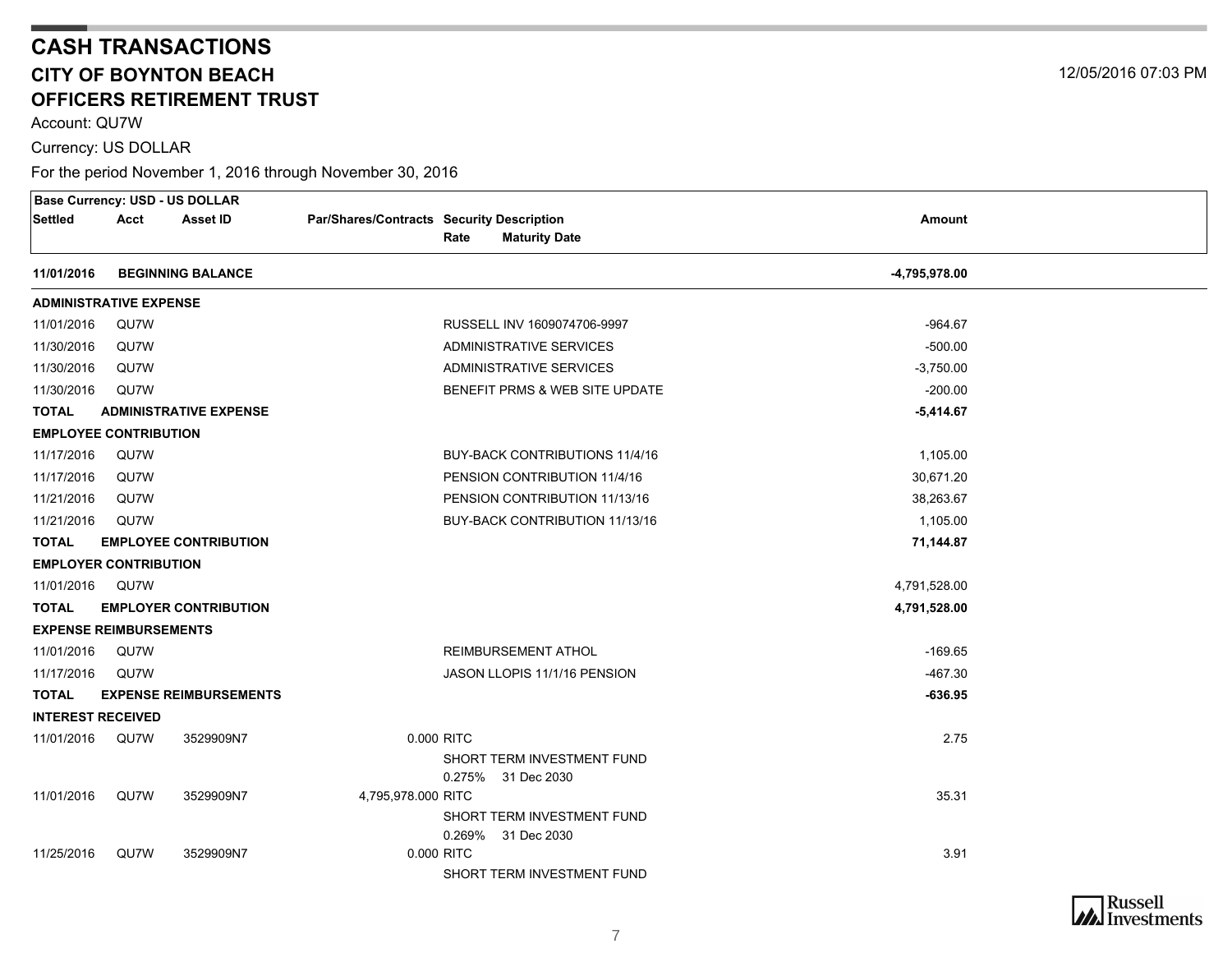Account: QU7W

Currency: US DOLLAR

<span id="page-6-0"></span>

|                               |                               | <b>Base Currency: USD - US DOLLAR</b> |                                           |            |                                |               |  |
|-------------------------------|-------------------------------|---------------------------------------|-------------------------------------------|------------|--------------------------------|---------------|--|
| Settled                       | Acct                          | <b>Asset ID</b>                       | Par/Shares/Contracts Security Description |            |                                | <b>Amount</b> |  |
|                               |                               |                                       |                                           | Rate       | <b>Maturity Date</b>           |               |  |
| 11/01/2016                    |                               | <b>BEGINNING BALANCE</b>              |                                           |            |                                | -4,795,978.00 |  |
| <b>ADMINISTRATIVE EXPENSE</b> |                               |                                       |                                           |            |                                |               |  |
| 11/01/2016                    | QU7W                          |                                       |                                           |            | RUSSELL INV 1609074706-9997    | $-964.67$     |  |
| 11/30/2016                    | QU7W                          |                                       |                                           |            | ADMINISTRATIVE SERVICES        | $-500.00$     |  |
| 11/30/2016                    | QU7W                          |                                       |                                           |            | ADMINISTRATIVE SERVICES        | $-3,750.00$   |  |
| 11/30/2016                    | QU7W                          |                                       |                                           |            | BENEFIT PRMS & WEB SITE UPDATE | $-200.00$     |  |
| <b>TOTAL</b>                  |                               | <b>ADMINISTRATIVE EXPENSE</b>         |                                           |            |                                | $-5,414.67$   |  |
| <b>EMPLOYEE CONTRIBUTION</b>  |                               |                                       |                                           |            |                                |               |  |
| 11/17/2016                    | QU7W                          |                                       |                                           |            | BUY-BACK CONTRIBUTIONS 11/4/16 | 1,105.00      |  |
| 11/17/2016                    | QU7W                          |                                       |                                           |            | PENSION CONTRIBUTION 11/4/16   | 30,671.20     |  |
| 11/21/2016                    | QU7W                          |                                       |                                           |            | PENSION CONTRIBUTION 11/13/16  | 38,263.67     |  |
| 11/21/2016                    | QU7W                          |                                       |                                           |            | BUY-BACK CONTRIBUTION 11/13/16 | 1,105.00      |  |
| <b>TOTAL</b>                  |                               | <b>EMPLOYEE CONTRIBUTION</b>          |                                           |            |                                | 71,144.87     |  |
|                               | <b>EMPLOYER CONTRIBUTION</b>  |                                       |                                           |            |                                |               |  |
| 11/01/2016 QU7W               |                               |                                       |                                           |            |                                | 4,791,528.00  |  |
| <b>TOTAL</b>                  |                               | <b>EMPLOYER CONTRIBUTION</b>          |                                           |            |                                | 4,791,528.00  |  |
|                               | <b>EXPENSE REIMBURSEMENTS</b> |                                       |                                           |            |                                |               |  |
| 11/01/2016                    | QU7W                          |                                       |                                           |            | <b>REIMBURSEMENT ATHOL</b>     | $-169.65$     |  |
| 11/17/2016                    | QU7W                          |                                       |                                           |            | JASON LLOPIS 11/1/16 PENSION   | $-467.30$     |  |
| <b>TOTAL</b>                  |                               | <b>EXPENSE REIMBURSEMENTS</b>         |                                           |            |                                | $-636.95$     |  |
| <b>INTEREST RECEIVED</b>      |                               |                                       |                                           |            |                                |               |  |
| 11/01/2016                    | QU7W                          | 3529909N7                             |                                           | 0.000 RITC |                                | 2.75          |  |
|                               |                               |                                       |                                           |            | SHORT TERM INVESTMENT FUND     |               |  |
|                               |                               |                                       |                                           |            | 0.275% 31 Dec 2030             |               |  |
| 11/01/2016                    | QU7W                          | 3529909N7                             | 4,795,978.000 RITC                        |            |                                | 35.31         |  |
|                               |                               |                                       |                                           |            | SHORT TERM INVESTMENT FUND     |               |  |
| 11/25/2016                    | QU7W                          | 3529909N7                             |                                           | 0.000 RITC | 0.269% 31 Dec 2030             | 3.91          |  |
|                               |                               |                                       |                                           |            | SHORT TERM INVESTMENT FUND     |               |  |

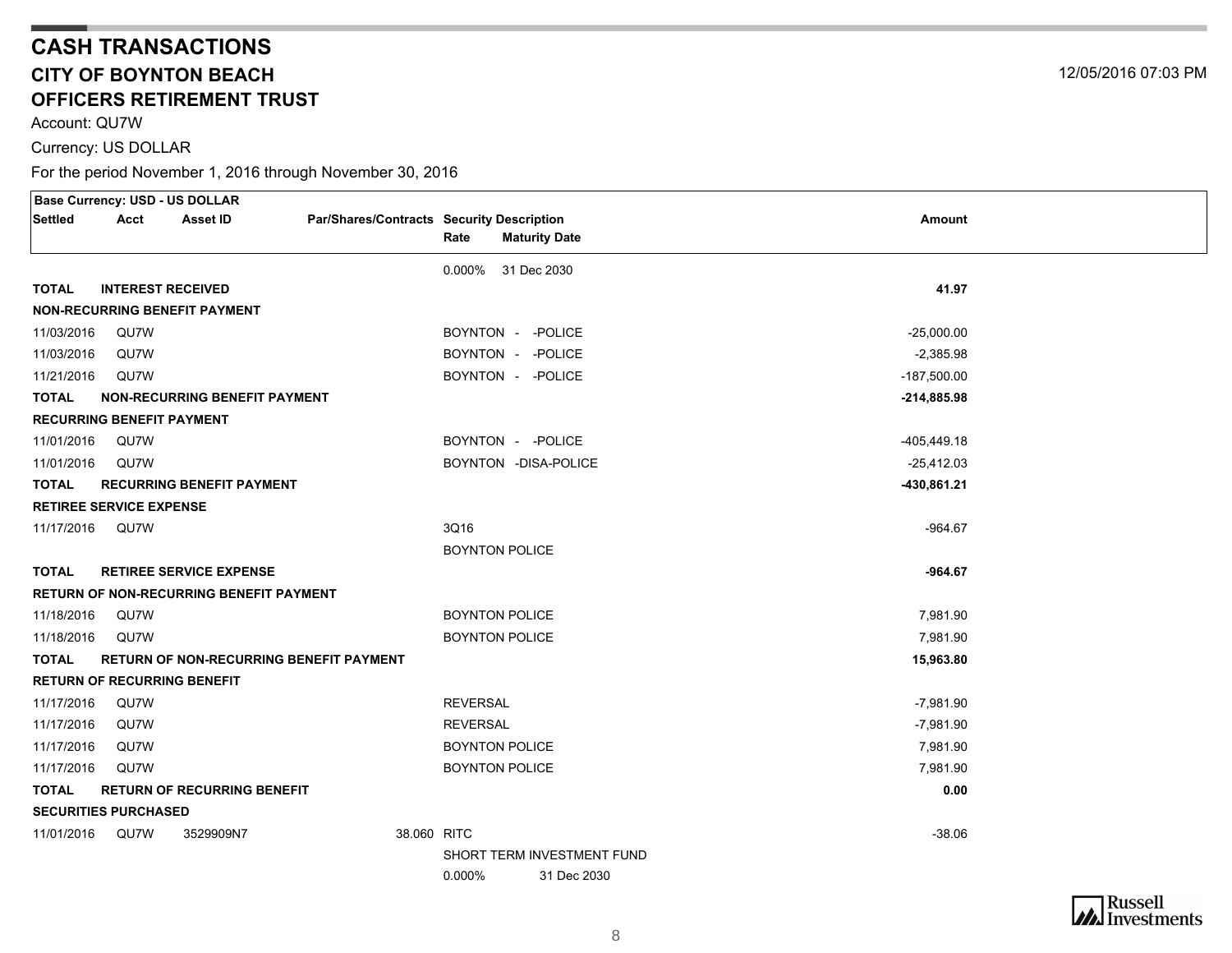Account: QU7W

Currency: US DOLLAR

| <b>Base Currency: USD - US DOLLAR</b> |                          |                                                |                                           |                       |                            |                |  |
|---------------------------------------|--------------------------|------------------------------------------------|-------------------------------------------|-----------------------|----------------------------|----------------|--|
| Settled                               | Acct                     | <b>Asset ID</b>                                | Par/Shares/Contracts Security Description |                       |                            | <b>Amount</b>  |  |
|                                       |                          |                                                |                                           | Rate                  | <b>Maturity Date</b>       |                |  |
|                                       |                          |                                                |                                           | 0.000% 31 Dec 2030    |                            |                |  |
| <b>TOTAL</b>                          | <b>INTEREST RECEIVED</b> |                                                |                                           |                       |                            | 41.97          |  |
|                                       |                          | <b>NON-RECURRING BENEFIT PAYMENT</b>           |                                           |                       |                            |                |  |
| 11/03/2016                            | QU7W                     |                                                |                                           | BOYNTON - - POLICE    |                            | $-25,000.00$   |  |
| 11/03/2016                            | QU7W                     |                                                |                                           | BOYNTON - - POLICE    |                            | $-2,385.98$    |  |
| 11/21/2016                            | QU7W                     |                                                |                                           | BOYNTON - - POLICE    |                            | $-187,500.00$  |  |
| <b>TOTAL</b>                          |                          | <b>NON-RECURRING BENEFIT PAYMENT</b>           |                                           |                       |                            | $-214,885.98$  |  |
| <b>RECURRING BENEFIT PAYMENT</b>      |                          |                                                |                                           |                       |                            |                |  |
| 11/01/2016                            | QU7W                     |                                                |                                           | BOYNTON - - POLICE    |                            | $-405, 449.18$ |  |
| 11/01/2016                            | QU7W                     |                                                |                                           | BOYNTON - DISA-POLICE |                            | $-25,412.03$   |  |
| <b>TOTAL</b>                          |                          | <b>RECURRING BENEFIT PAYMENT</b>               |                                           |                       |                            | -430,861.21    |  |
| <b>RETIREE SERVICE EXPENSE</b>        |                          |                                                |                                           |                       |                            |                |  |
| 11/17/2016                            | QU7W                     |                                                |                                           | 3Q16                  |                            | $-964.67$      |  |
|                                       |                          |                                                |                                           | <b>BOYNTON POLICE</b> |                            |                |  |
| <b>TOTAL</b>                          |                          | <b>RETIREE SERVICE EXPENSE</b>                 |                                           |                       |                            | $-964.67$      |  |
|                                       |                          | <b>RETURN OF NON-RECURRING BENEFIT PAYMENT</b> |                                           |                       |                            |                |  |
| 11/18/2016                            | QU7W                     |                                                |                                           | <b>BOYNTON POLICE</b> |                            | 7,981.90       |  |
| 11/18/2016                            | QU7W                     |                                                |                                           | <b>BOYNTON POLICE</b> |                            | 7,981.90       |  |
| <b>TOTAL</b>                          |                          | <b>RETURN OF NON-RECURRING BENEFIT PAYMENT</b> |                                           |                       |                            | 15,963.80      |  |
|                                       |                          | <b>RETURN OF RECURRING BENEFIT</b>             |                                           |                       |                            |                |  |
| 11/17/2016                            | QU7W                     |                                                |                                           | <b>REVERSAL</b>       |                            | $-7,981.90$    |  |
| 11/17/2016                            | QU7W                     |                                                |                                           | <b>REVERSAL</b>       |                            | $-7,981.90$    |  |
| 11/17/2016                            | QU7W                     |                                                |                                           | <b>BOYNTON POLICE</b> |                            | 7,981.90       |  |
| 11/17/2016                            | QU7W                     |                                                |                                           | <b>BOYNTON POLICE</b> |                            | 7,981.90       |  |
| <b>TOTAL</b>                          |                          | <b>RETURN OF RECURRING BENEFIT</b>             |                                           |                       |                            | 0.00           |  |
| <b>SECURITIES PURCHASED</b>           |                          |                                                |                                           |                       |                            |                |  |
| 11/01/2016                            | QU7W                     | 3529909N7                                      | 38.060 RITC                               |                       |                            | $-38.06$       |  |
|                                       |                          |                                                |                                           |                       | SHORT TERM INVESTMENT FUND |                |  |
|                                       |                          |                                                |                                           | $0.000\%$             | 31 Dec 2030                |                |  |

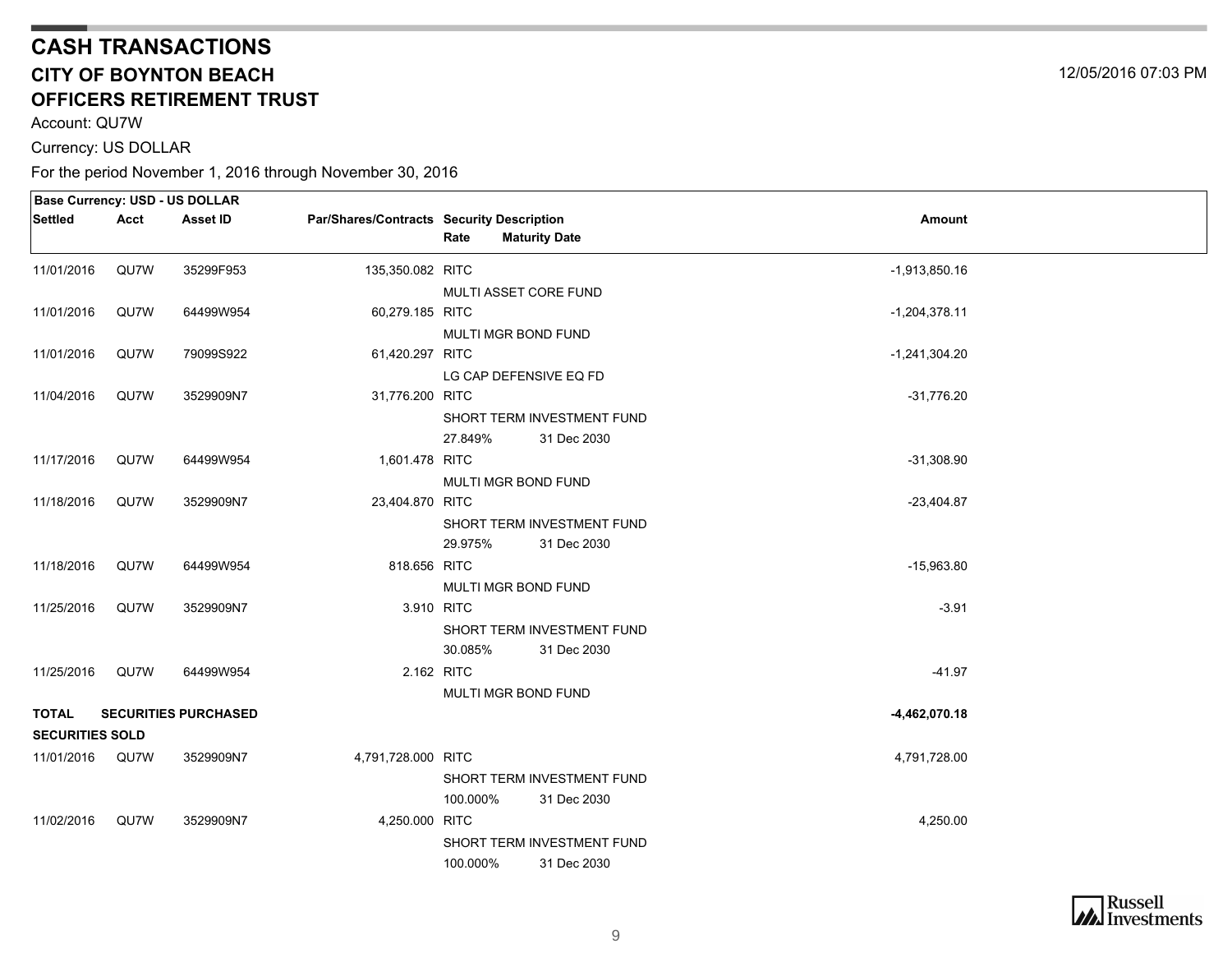Account: QU7W

Currency: US DOLLAR

|                        |      | Base Currency: USD - US DOLLAR |                                           |                              |                 |  |
|------------------------|------|--------------------------------|-------------------------------------------|------------------------------|-----------------|--|
| Settled                | Acct | Asset ID                       | Par/Shares/Contracts Security Description | Rate<br><b>Maturity Date</b> | Amount          |  |
| 11/01/2016             | QU7W | 35299F953                      | 135,350.082 RITC                          |                              | $-1,913,850.16$ |  |
|                        |      |                                |                                           | MULTI ASSET CORE FUND        |                 |  |
| 11/01/2016             | QU7W | 64499W954                      | 60,279.185 RITC                           |                              | $-1,204,378.11$ |  |
|                        |      |                                |                                           | MULTI MGR BOND FUND          |                 |  |
| 11/01/2016             | QU7W | 79099S922                      | 61,420.297 RITC                           |                              | $-1,241,304.20$ |  |
|                        |      |                                |                                           | LG CAP DEFENSIVE EQ FD       |                 |  |
| 11/04/2016             | QU7W | 3529909N7                      | 31,776.200 RITC                           |                              | $-31,776.20$    |  |
|                        |      |                                |                                           | SHORT TERM INVESTMENT FUND   |                 |  |
|                        |      |                                |                                           | 27.849%<br>31 Dec 2030       |                 |  |
| 11/17/2016             | QU7W | 64499W954                      | 1,601.478 RITC                            |                              | $-31,308.90$    |  |
|                        |      |                                |                                           | MULTI MGR BOND FUND          |                 |  |
| 11/18/2016             | QU7W | 3529909N7                      | 23,404.870 RITC                           |                              | $-23,404.87$    |  |
|                        |      |                                |                                           | SHORT TERM INVESTMENT FUND   |                 |  |
|                        |      |                                |                                           | 29.975%<br>31 Dec 2030       |                 |  |
| 11/18/2016             | QU7W | 64499W954                      | 818.656 RITC                              |                              | $-15,963.80$    |  |
|                        |      |                                |                                           | MULTI MGR BOND FUND          |                 |  |
| 11/25/2016             | QU7W | 3529909N7                      | 3.910 RITC                                |                              | $-3.91$         |  |
|                        |      |                                |                                           | SHORT TERM INVESTMENT FUND   |                 |  |
|                        |      |                                |                                           | 30.085%<br>31 Dec 2030       |                 |  |
| 11/25/2016             | QU7W | 64499W954                      | 2.162 RITC                                |                              | $-41.97$        |  |
|                        |      |                                |                                           | MULTI MGR BOND FUND          |                 |  |
| <b>TOTAL</b>           |      | <b>SECURITIES PURCHASED</b>    |                                           |                              | $-4,462,070.18$ |  |
| <b>SECURITIES SOLD</b> |      |                                |                                           |                              |                 |  |
| 11/01/2016 QU7W        |      | 3529909N7                      | 4,791,728.000 RITC                        |                              | 4,791,728.00    |  |
|                        |      |                                |                                           | SHORT TERM INVESTMENT FUND   |                 |  |
|                        |      |                                |                                           | 100.000%<br>31 Dec 2030      |                 |  |
| 11/02/2016             | QU7W | 3529909N7                      | 4,250.000 RITC                            |                              | 4,250.00        |  |
|                        |      |                                |                                           | SHORT TERM INVESTMENT FUND   |                 |  |
|                        |      |                                |                                           | 100.000%<br>31 Dec 2030      |                 |  |
|                        |      |                                |                                           |                              |                 |  |

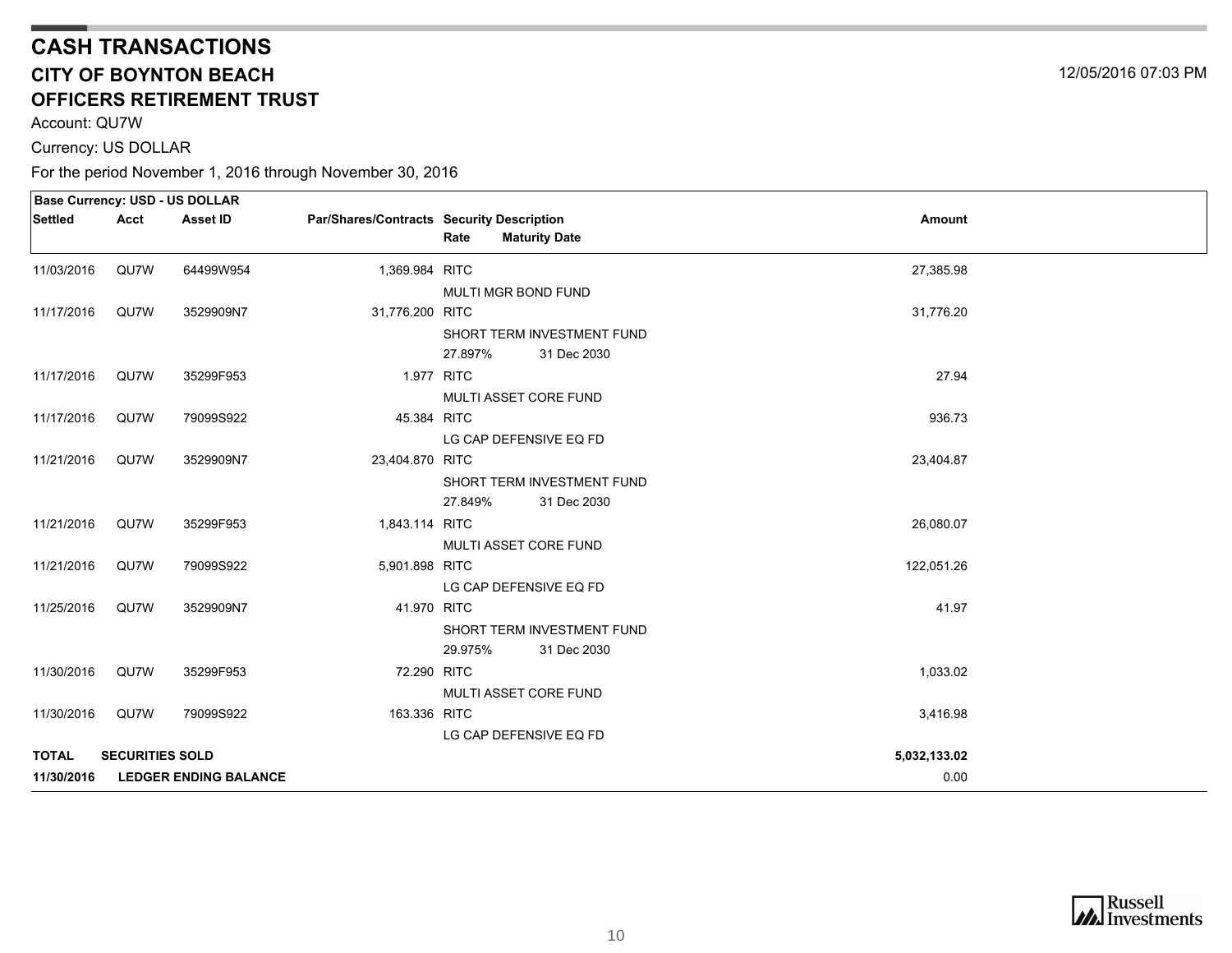Account: QU7W

Currency: US DOLLAR

|              |                        | <b>Base Currency: USD - US DOLLAR</b> |                                           |         |                            |              |  |
|--------------|------------------------|---------------------------------------|-------------------------------------------|---------|----------------------------|--------------|--|
| Settled      | Acct                   | Asset ID                              | Par/Shares/Contracts Security Description |         |                            | Amount       |  |
|              |                        |                                       |                                           | Rate    | <b>Maturity Date</b>       |              |  |
| 11/03/2016   | QU7W                   | 64499W954                             | 1,369.984 RITC                            |         |                            | 27,385.98    |  |
|              |                        |                                       |                                           |         | MULTI MGR BOND FUND        |              |  |
| 11/17/2016   | QU7W                   | 3529909N7                             | 31,776.200 RITC                           |         |                            | 31,776.20    |  |
|              |                        |                                       |                                           |         | SHORT TERM INVESTMENT FUND |              |  |
|              |                        |                                       |                                           | 27.897% | 31 Dec 2030                |              |  |
| 11/17/2016   | QU7W                   | 35299F953                             | 1.977 RITC                                |         |                            | 27.94        |  |
|              |                        |                                       |                                           |         | MULTI ASSET CORE FUND      |              |  |
| 11/17/2016   | QU7W                   | 79099S922                             | 45.384 RITC                               |         |                            | 936.73       |  |
|              |                        |                                       |                                           |         | LG CAP DEFENSIVE EQ FD     |              |  |
| 11/21/2016   | QU7W                   | 3529909N7                             | 23,404.870 RITC                           |         |                            | 23,404.87    |  |
|              |                        |                                       |                                           |         | SHORT TERM INVESTMENT FUND |              |  |
|              |                        |                                       |                                           | 27.849% | 31 Dec 2030                |              |  |
| 11/21/2016   | QU7W                   | 35299F953                             | 1,843.114 RITC                            |         |                            | 26,080.07    |  |
|              |                        |                                       |                                           |         | MULTI ASSET CORE FUND      |              |  |
| 11/21/2016   | QU7W                   | 79099S922                             | 5,901.898 RITC                            |         |                            | 122,051.26   |  |
|              |                        |                                       |                                           |         | LG CAP DEFENSIVE EQ FD     |              |  |
| 11/25/2016   | QU7W                   | 3529909N7                             | 41.970 RITC                               |         |                            | 41.97        |  |
|              |                        |                                       |                                           |         | SHORT TERM INVESTMENT FUND |              |  |
|              |                        |                                       |                                           | 29.975% | 31 Dec 2030                |              |  |
| 11/30/2016   | QU7W                   | 35299F953                             | 72.290 RITC                               |         |                            | 1,033.02     |  |
|              |                        |                                       |                                           |         | MULTI ASSET CORE FUND      |              |  |
| 11/30/2016   | QU7W                   | 79099S922                             | 163.336 RITC                              |         |                            | 3,416.98     |  |
|              |                        |                                       |                                           |         | LG CAP DEFENSIVE EQ FD     |              |  |
| <b>TOTAL</b> | <b>SECURITIES SOLD</b> |                                       |                                           |         |                            | 5,032,133.02 |  |
| 11/30/2016   |                        | <b>LEDGER ENDING BALANCE</b>          |                                           |         |                            | 0.00         |  |

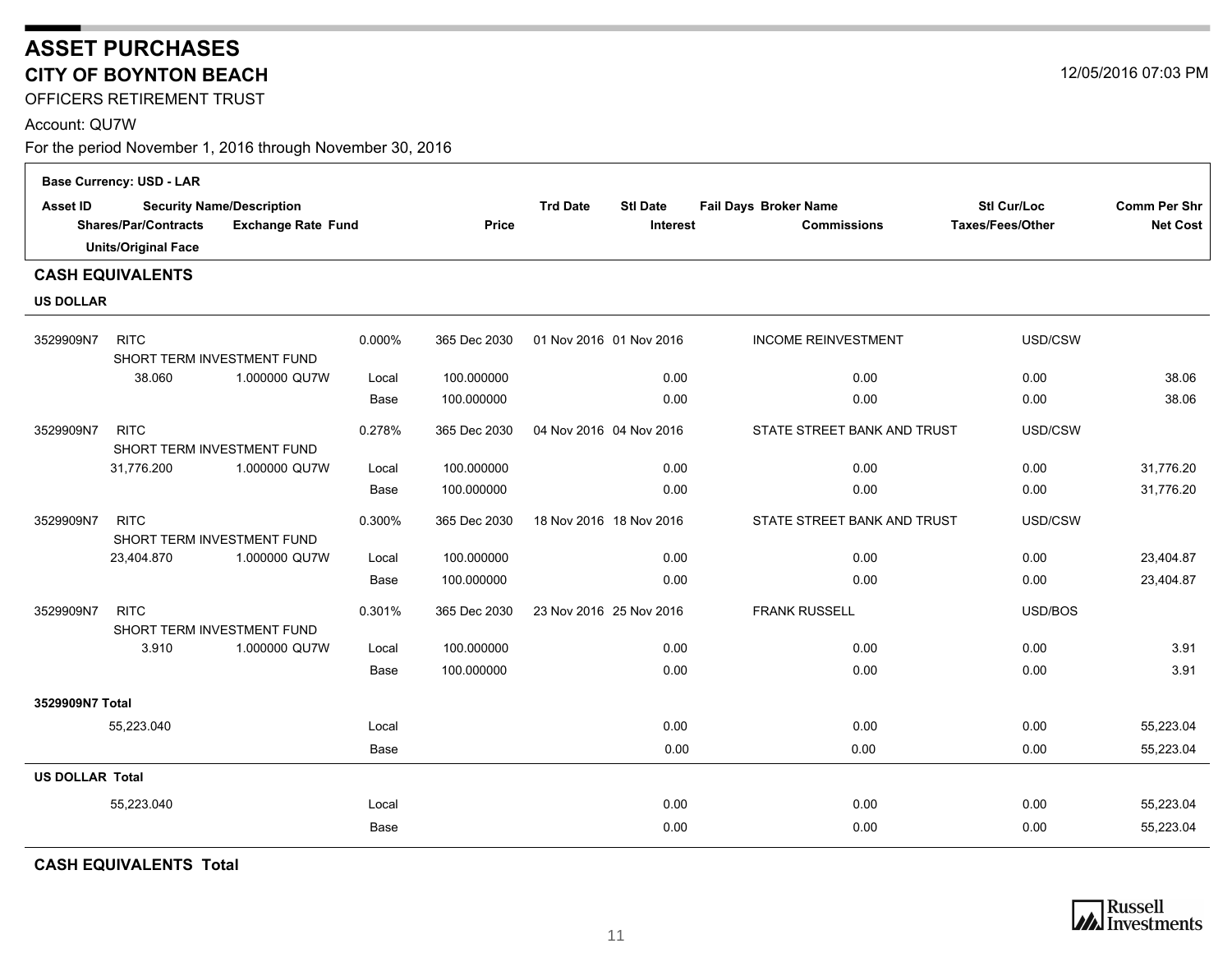## <span id="page-10-0"></span>**ASSET PURCHASES CITY OF BOYNTON BEACH**

OFFICERS RETIREMENT TRUST

#### Account: QU7W

For the period November 1, 2016 through November 30, 2016

|                                                                                                                                               | <b>Base Currency: USD - LAR</b>           |               |              |                                                       |                                             |                                        |                                        |           |
|-----------------------------------------------------------------------------------------------------------------------------------------------|-------------------------------------------|---------------|--------------|-------------------------------------------------------|---------------------------------------------|----------------------------------------|----------------------------------------|-----------|
| <b>Asset ID</b><br><b>Security Name/Description</b><br><b>Shares/Par/Contracts</b><br><b>Exchange Rate Fund</b><br><b>Units/Original Face</b> |                                           |               | <b>Price</b> | <b>Trd Date</b><br><b>Stl Date</b><br><b>Interest</b> | Fail Days Broker Name<br><b>Commissions</b> | <b>Stl Cur/Loc</b><br>Taxes/Fees/Other | <b>Comm Per Shr</b><br><b>Net Cost</b> |           |
|                                                                                                                                               | <b>CASH EQUIVALENTS</b>                   |               |              |                                                       |                                             |                                        |                                        |           |
| <b>US DOLLAR</b>                                                                                                                              |                                           |               |              |                                                       |                                             |                                        |                                        |           |
| 3529909N7                                                                                                                                     | <b>RITC</b><br>SHORT TERM INVESTMENT FUND |               | 0.000%       | 365 Dec 2030                                          | 01 Nov 2016 01 Nov 2016                     | <b>INCOME REINVESTMENT</b>             | USD/CSW                                |           |
|                                                                                                                                               | 38.060                                    | 1.000000 QU7W | Local        | 100.000000                                            | 0.00                                        | 0.00                                   | 0.00                                   | 38.06     |
|                                                                                                                                               |                                           |               | Base         | 100.000000                                            | 0.00                                        | 0.00                                   | 0.00                                   | 38.06     |
| 3529909N7                                                                                                                                     | <b>RITC</b><br>SHORT TERM INVESTMENT FUND |               | 0.278%       | 365 Dec 2030                                          | 04 Nov 2016 04 Nov 2016                     | STATE STREET BANK AND TRUST            | USD/CSW                                |           |
|                                                                                                                                               | 31,776.200                                | 1.000000 QU7W | Local        | 100.000000                                            | 0.00                                        | 0.00                                   | 0.00                                   | 31,776.20 |
|                                                                                                                                               |                                           |               | Base         | 100.000000                                            | 0.00                                        | 0.00                                   | 0.00                                   | 31.776.20 |
| 3529909N7                                                                                                                                     | <b>RITC</b><br>SHORT TERM INVESTMENT FUND |               | 0.300%       | 365 Dec 2030                                          | 18 Nov 2016 18 Nov 2016                     | STATE STREET BANK AND TRUST            | USD/CSW                                |           |
|                                                                                                                                               | 23,404.870                                | 1.000000 QU7W | Local        | 100.000000                                            | 0.00                                        | 0.00                                   | 0.00                                   | 23,404.87 |
|                                                                                                                                               |                                           |               | Base         | 100.000000                                            | 0.00                                        | 0.00                                   | 0.00                                   | 23,404.87 |
| 3529909N7                                                                                                                                     | <b>RITC</b><br>SHORT TERM INVESTMENT FUND |               | 0.301%       | 365 Dec 2030                                          | 23 Nov 2016 25 Nov 2016                     | <b>FRANK RUSSELL</b>                   | USD/BOS                                |           |
|                                                                                                                                               | 3.910                                     | 1.000000 QU7W | Local        | 100.000000                                            | 0.00                                        | 0.00                                   | 0.00                                   | 3.91      |
|                                                                                                                                               |                                           |               | Base         | 100.000000                                            | 0.00                                        | 0.00                                   | 0.00                                   | 3.91      |
| 3529909N7 Total                                                                                                                               |                                           |               |              |                                                       |                                             |                                        |                                        |           |
|                                                                                                                                               | 55,223.040                                |               | Local        |                                                       | 0.00                                        | 0.00                                   | 0.00                                   | 55,223.04 |
|                                                                                                                                               |                                           |               | Base         |                                                       | 0.00                                        | 0.00                                   | 0.00                                   | 55,223.04 |
| <b>US DOLLAR Total</b>                                                                                                                        |                                           |               |              |                                                       |                                             |                                        |                                        |           |
|                                                                                                                                               | 55,223.040                                |               | Local        |                                                       | 0.00                                        | 0.00                                   | 0.00                                   | 55,223.04 |
|                                                                                                                                               |                                           |               | Base         |                                                       | 0.00                                        | 0.00                                   | 0.00                                   | 55,223.04 |
|                                                                                                                                               |                                           |               |              |                                                       |                                             |                                        |                                        |           |

**CASH EQUIVALENTS Total**



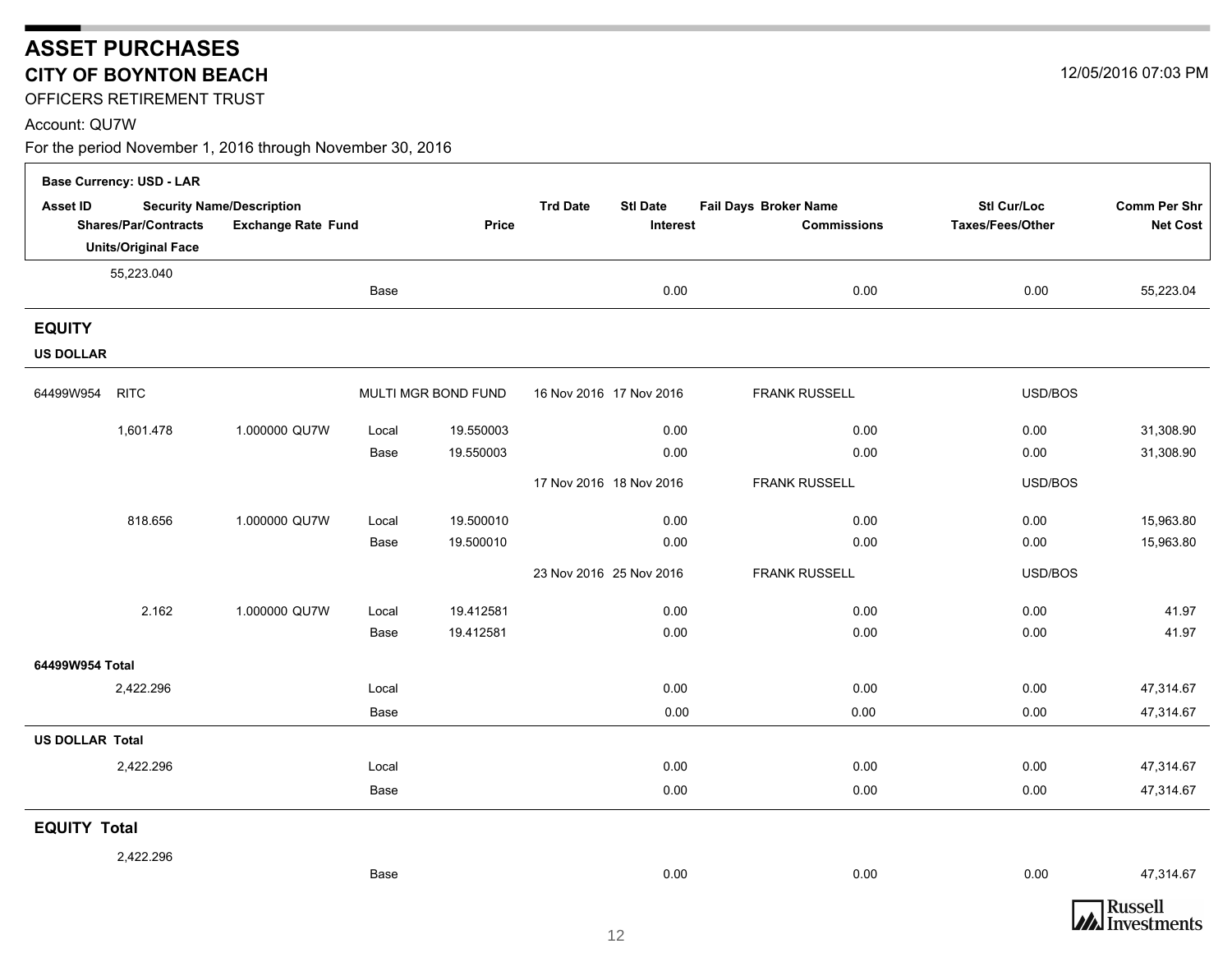## **ASSET PURCHASES CITY OF BOYNTON BEACH**

OFFICERS RETIREMENT TRUST

#### Account: QU7W

|                        | <b>Base Currency: USD - LAR</b> |                                  |       |                     |                                    |                       |                  |                                  |
|------------------------|---------------------------------|----------------------------------|-------|---------------------|------------------------------------|-----------------------|------------------|----------------------------------|
| <b>Asset ID</b>        |                                 | <b>Security Name/Description</b> |       |                     | <b>Trd Date</b><br><b>Stl Date</b> | Fail Days Broker Name | Stl Cur/Loc      | Comm Per Shr                     |
|                        | <b>Shares/Par/Contracts</b>     | <b>Exchange Rate Fund</b>        |       | <b>Price</b>        | <b>Interest</b>                    | <b>Commissions</b>    | Taxes/Fees/Other | <b>Net Cost</b>                  |
|                        | <b>Units/Original Face</b>      |                                  |       |                     |                                    |                       |                  |                                  |
|                        | 55,223.040                      |                                  | Base  |                     | 0.00                               | 0.00                  | 0.00             | 55,223.04                        |
|                        |                                 |                                  |       |                     |                                    |                       |                  |                                  |
| <b>EQUITY</b>          |                                 |                                  |       |                     |                                    |                       |                  |                                  |
| <b>US DOLLAR</b>       |                                 |                                  |       |                     |                                    |                       |                  |                                  |
| 64499W954              | <b>RITC</b>                     |                                  |       | MULTI MGR BOND FUND | 16 Nov 2016 17 Nov 2016            | <b>FRANK RUSSELL</b>  | USD/BOS          |                                  |
|                        | 1,601.478                       | 1.000000 QU7W                    | Local | 19.550003           | 0.00                               | 0.00                  | 0.00             | 31,308.90                        |
|                        |                                 |                                  | Base  | 19.550003           | 0.00                               | 0.00                  | 0.00             | 31,308.90                        |
|                        |                                 |                                  |       |                     | 17 Nov 2016 18 Nov 2016            | <b>FRANK RUSSELL</b>  | USD/BOS          |                                  |
|                        | 818.656                         | 1.000000 QU7W                    | Local | 19.500010           | 0.00                               | 0.00                  | 0.00             | 15,963.80                        |
|                        |                                 |                                  | Base  | 19.500010           | 0.00                               | 0.00                  | 0.00             | 15,963.80                        |
|                        |                                 |                                  |       |                     | 23 Nov 2016 25 Nov 2016            | <b>FRANK RUSSELL</b>  | USD/BOS          |                                  |
|                        | 2.162                           | 1.000000 QU7W                    | Local | 19.412581           | 0.00                               | 0.00                  | 0.00             | 41.97                            |
|                        |                                 |                                  | Base  | 19.412581           | 0.00                               | 0.00                  | 0.00             | 41.97                            |
| 64499W954 Total        |                                 |                                  |       |                     |                                    |                       |                  |                                  |
|                        | 2,422.296                       |                                  | Local |                     | 0.00                               | 0.00                  | 0.00             | 47,314.67                        |
|                        |                                 |                                  | Base  |                     | 0.00                               | 0.00                  | 0.00             | 47,314.67                        |
| <b>US DOLLAR Total</b> |                                 |                                  |       |                     |                                    |                       |                  |                                  |
|                        | 2,422.296                       |                                  | Local |                     | 0.00                               | 0.00                  | 0.00             | 47,314.67                        |
|                        |                                 |                                  | Base  |                     | 0.00                               | 0.00                  | 0.00             | 47,314.67                        |
| <b>EQUITY Total</b>    |                                 |                                  |       |                     |                                    |                       |                  |                                  |
|                        | 2,422.296                       |                                  |       |                     |                                    |                       |                  |                                  |
|                        |                                 |                                  | Base  |                     | 0.00                               | 0.00                  | 0.00             | 47,314.67                        |
|                        |                                 |                                  |       |                     | $\sim$                             |                       |                  | Russell<br><b>WA</b> Investments |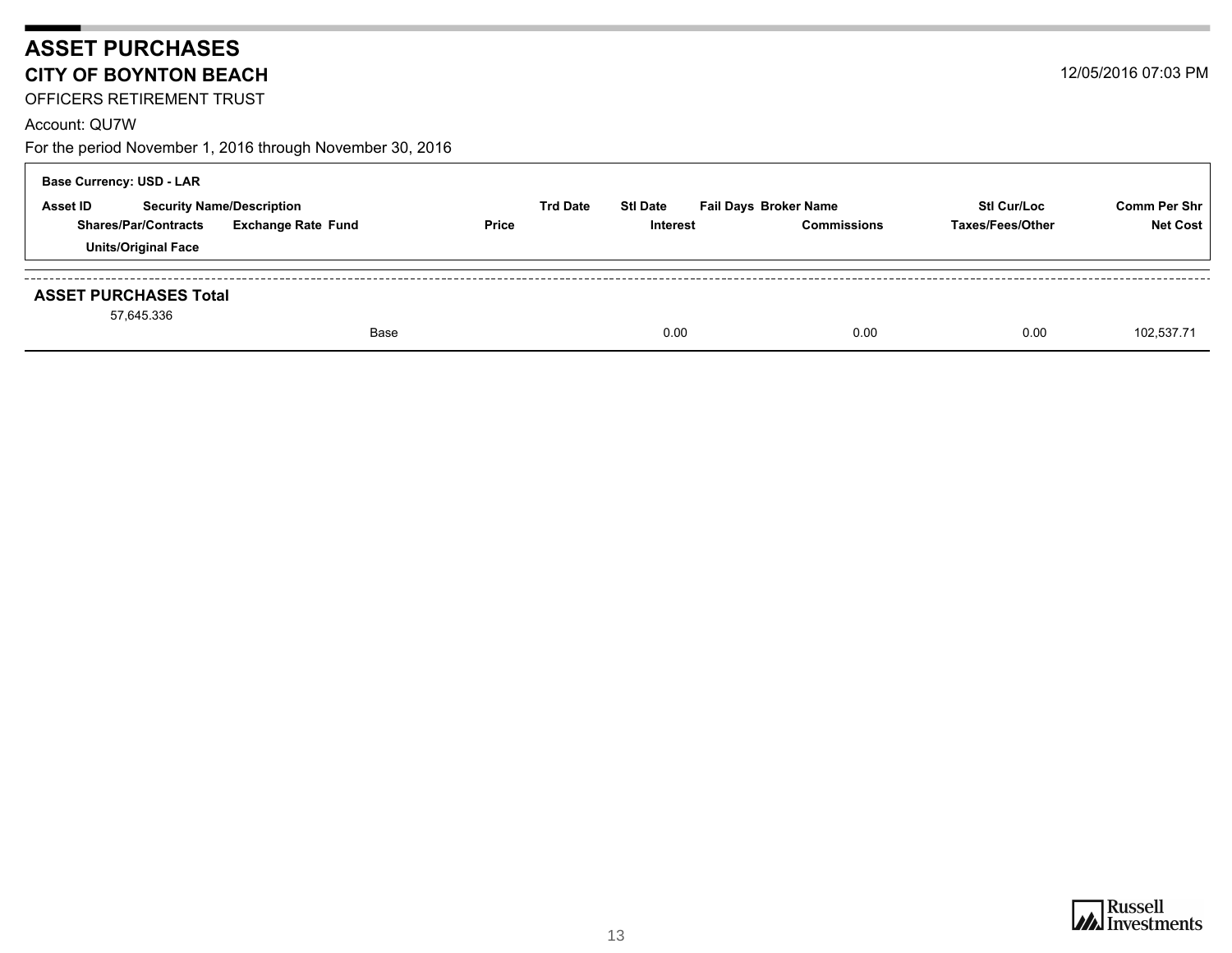## **ASSET PURCHASES CITY OF BOYNTON BEACH**

OFFICERS RETIREMENT TRUST

#### Account: QU7W

| <b>Base Currency: USD - LAR</b>                     |  |                           |                 |                 |                              |                    |                     |
|-----------------------------------------------------|--|---------------------------|-----------------|-----------------|------------------------------|--------------------|---------------------|
| <b>Asset ID</b><br><b>Security Name/Description</b> |  |                           | <b>Trd Date</b> | <b>Stl Date</b> | <b>Fail Days Broker Name</b> | <b>Stl Cur/Loc</b> | <b>Comm Per Shr</b> |
| <b>Shares/Par/Contracts</b>                         |  | <b>Exchange Rate Fund</b> | <b>Price</b>    | Interest        | <b>Commissions</b>           | Taxes/Fees/Other   | <b>Net Cost</b>     |
| <b>Units/Original Face</b>                          |  |                           |                 |                 |                              |                    |                     |
| <b>ASSET PURCHASES Total</b><br>57,645.336          |  |                           |                 |                 |                              |                    |                     |
|                                                     |  | Base                      |                 | 0.00            | 0.00                         | 0.00               | 102.537.71          |

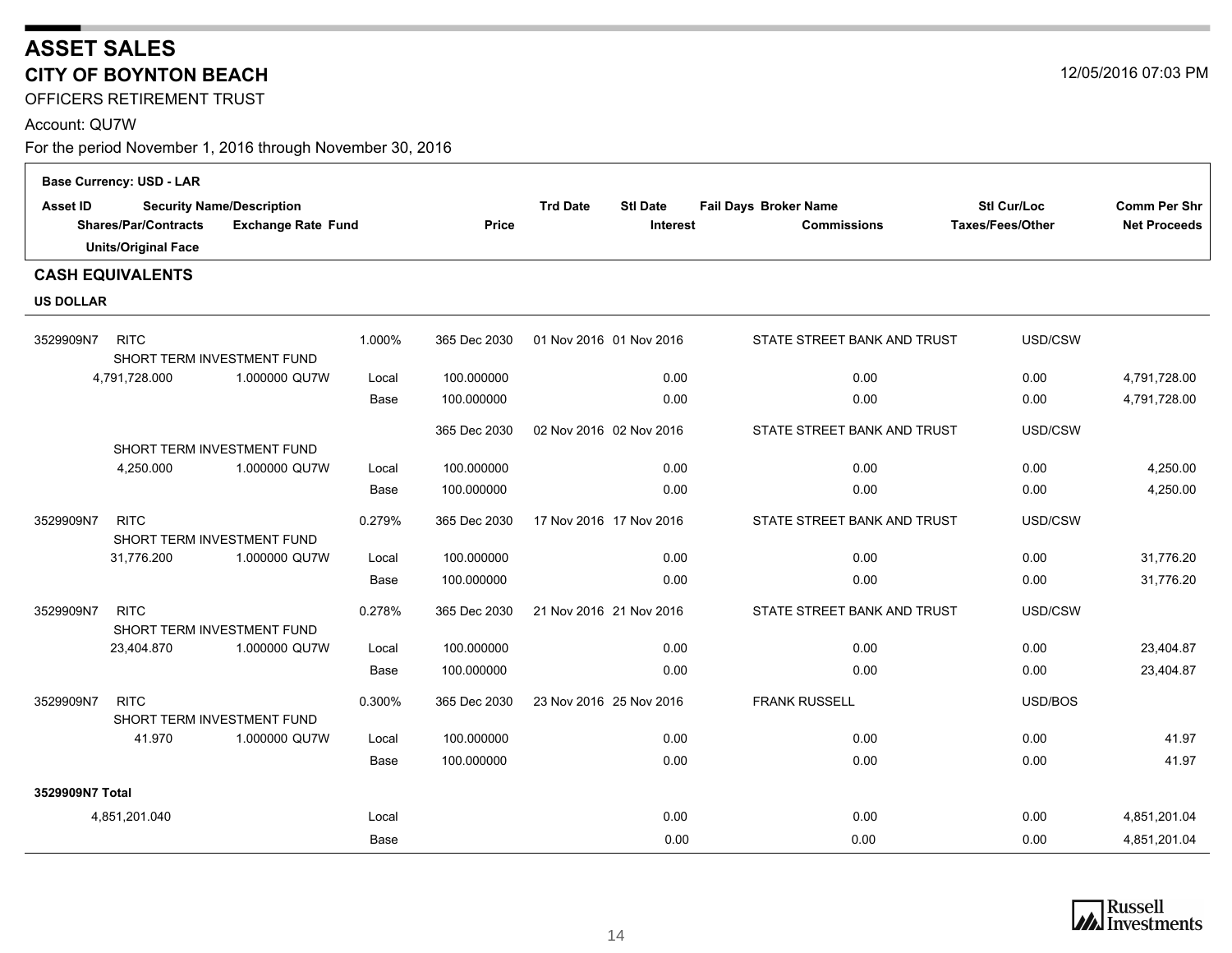OFFICERS RETIREMENT TRUST

#### Account: QU7W

|                  | <b>Base Currency: USD - LAR</b>                                                                                            |               |        |              |                                                       |                                             |                                 |                                     |
|------------------|----------------------------------------------------------------------------------------------------------------------------|---------------|--------|--------------|-------------------------------------------------------|---------------------------------------------|---------------------------------|-------------------------------------|
| <b>Asset ID</b>  | <b>Security Name/Description</b><br><b>Shares/Par/Contracts</b><br><b>Exchange Rate Fund</b><br><b>Units/Original Face</b> |               |        | <b>Price</b> | <b>Trd Date</b><br><b>Stl Date</b><br><b>Interest</b> | Fail Days Broker Name<br><b>Commissions</b> | Stl Cur/Loc<br>Taxes/Fees/Other | Comm Per Shr<br><b>Net Proceeds</b> |
|                  | <b>CASH EQUIVALENTS</b>                                                                                                    |               |        |              |                                                       |                                             |                                 |                                     |
| <b>US DOLLAR</b> |                                                                                                                            |               |        |              |                                                       |                                             |                                 |                                     |
| 3529909N7        | <b>RITC</b><br>SHORT TERM INVESTMENT FUND                                                                                  |               | 1.000% | 365 Dec 2030 | 01 Nov 2016 01 Nov 2016                               | STATE STREET BANK AND TRUST                 | USD/CSW                         |                                     |
|                  | 4,791,728.000                                                                                                              | 1.000000 QU7W | Local  | 100.000000   | 0.00                                                  | 0.00                                        | 0.00                            | 4,791,728.00                        |
|                  |                                                                                                                            |               | Base   | 100.000000   | 0.00                                                  | 0.00                                        | 0.00                            | 4,791,728.00                        |
|                  |                                                                                                                            |               |        | 365 Dec 2030 | 02 Nov 2016 02 Nov 2016                               | STATE STREET BANK AND TRUST                 | USD/CSW                         |                                     |
|                  | SHORT TERM INVESTMENT FUND<br>4,250.000                                                                                    | 1.000000 QU7W |        | 100.000000   | 0.00                                                  | 0.00                                        | 0.00                            | 4,250.00                            |
|                  |                                                                                                                            |               | Local  | 100.000000   | 0.00                                                  | 0.00                                        | 0.00                            | 4,250.00                            |
|                  |                                                                                                                            |               | Base   |              |                                                       |                                             |                                 |                                     |
| 3529909N7        | <b>RITC</b><br>SHORT TERM INVESTMENT FUND                                                                                  |               | 0.279% | 365 Dec 2030 | 17 Nov 2016 17 Nov 2016                               | STATE STREET BANK AND TRUST                 | USD/CSW                         |                                     |
|                  | 31,776.200                                                                                                                 | 1.000000 QU7W | Local  | 100.000000   | 0.00                                                  | 0.00                                        | 0.00                            | 31,776.20                           |
|                  |                                                                                                                            |               | Base   | 100.000000   | 0.00                                                  | 0.00                                        | 0.00                            | 31,776.20                           |
| 3529909N7        | <b>RITC</b><br>SHORT TERM INVESTMENT FUND                                                                                  |               | 0.278% | 365 Dec 2030 | 21 Nov 2016 21 Nov 2016                               | STATE STREET BANK AND TRUST                 | USD/CSW                         |                                     |
|                  | 23,404.870                                                                                                                 | 1.000000 QU7W | Local  | 100.000000   | 0.00                                                  | 0.00                                        | 0.00                            | 23,404.87                           |
|                  |                                                                                                                            |               | Base   | 100.000000   | 0.00                                                  | 0.00                                        | 0.00                            | 23,404.87                           |
| 3529909N7        | <b>RITC</b><br>SHORT TERM INVESTMENT FUND                                                                                  |               | 0.300% | 365 Dec 2030 | 23 Nov 2016 25 Nov 2016                               | <b>FRANK RUSSELL</b>                        | USD/BOS                         |                                     |
|                  | 41.970                                                                                                                     | 1.000000 QU7W | Local  | 100.000000   | 0.00                                                  | 0.00                                        | 0.00                            | 41.97                               |
|                  |                                                                                                                            |               | Base   | 100.000000   | 0.00                                                  | 0.00                                        | 0.00                            | 41.97                               |
| 3529909N7 Total  |                                                                                                                            |               |        |              |                                                       |                                             |                                 |                                     |
|                  | 4,851,201.040                                                                                                              |               | Local  |              | 0.00                                                  | 0.00                                        | 0.00                            | 4,851,201.04                        |
|                  |                                                                                                                            |               | Base   |              | 0.00                                                  | 0.00                                        | 0.00                            | 4,851,201.04                        |



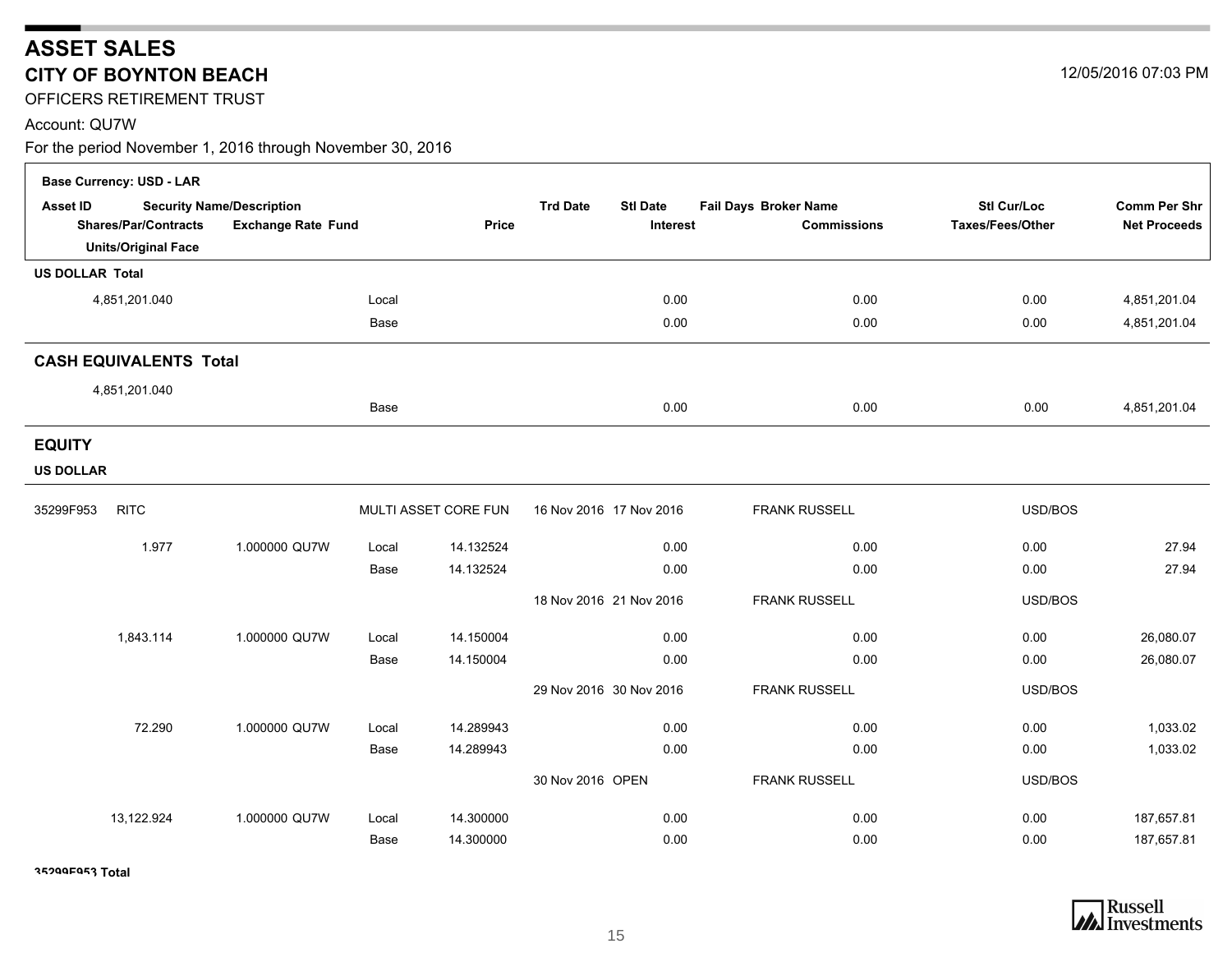OFFICERS RETIREMENT TRUST

#### Account: QU7W

For the period November 1, 2016 through November 30, 2016

|                                   | <b>Base Currency: USD - LAR</b>                           |                                                               |       |                      |                                                |                                             |                                        |                                     |
|-----------------------------------|-----------------------------------------------------------|---------------------------------------------------------------|-------|----------------------|------------------------------------------------|---------------------------------------------|----------------------------------------|-------------------------------------|
| <b>Asset ID</b>                   | <b>Shares/Par/Contracts</b><br><b>Units/Original Face</b> | <b>Security Name/Description</b><br><b>Exchange Rate Fund</b> |       | Price                | <b>Trd Date</b><br><b>Stl Date</b><br>Interest | Fail Days Broker Name<br><b>Commissions</b> | <b>Stl Cur/Loc</b><br>Taxes/Fees/Other | Comm Per Shr<br><b>Net Proceeds</b> |
| <b>US DOLLAR Total</b>            |                                                           |                                                               |       |                      |                                                |                                             |                                        |                                     |
|                                   | 4,851,201.040                                             |                                                               | Local |                      | 0.00                                           | 0.00                                        | 0.00                                   | 4,851,201.04                        |
|                                   |                                                           |                                                               | Base  |                      | 0.00                                           | 0.00                                        | 0.00                                   | 4,851,201.04                        |
|                                   | <b>CASH EQUIVALENTS Total</b>                             |                                                               |       |                      |                                                |                                             |                                        |                                     |
|                                   | 4,851,201.040                                             |                                                               |       |                      |                                                |                                             |                                        |                                     |
|                                   |                                                           |                                                               | Base  |                      | 0.00                                           | 0.00                                        | 0.00                                   | 4,851,201.04                        |
| <b>EQUITY</b><br><b>US DOLLAR</b> |                                                           |                                                               |       |                      |                                                |                                             |                                        |                                     |
| 35299F953                         | <b>RITC</b>                                               |                                                               |       | MULTI ASSET CORE FUN | 16 Nov 2016 17 Nov 2016                        | <b>FRANK RUSSELL</b>                        | USD/BOS                                |                                     |
|                                   | 1.977                                                     | 1.000000 QU7W                                                 | Local | 14.132524            | 0.00                                           | 0.00                                        | 0.00                                   | 27.94                               |
|                                   |                                                           |                                                               | Base  | 14.132524            | 0.00                                           | 0.00                                        | 0.00                                   | 27.94                               |
|                                   |                                                           |                                                               |       |                      | 18 Nov 2016 21 Nov 2016                        | <b>FRANK RUSSELL</b>                        | USD/BOS                                |                                     |
|                                   | 1,843.114                                                 | 1.000000 QU7W                                                 | Local | 14.150004            | 0.00                                           | 0.00                                        | 0.00                                   | 26,080.07                           |
|                                   |                                                           |                                                               | Base  | 14.150004            | 0.00                                           | 0.00                                        | 0.00                                   | 26,080.07                           |
|                                   |                                                           |                                                               |       |                      | 29 Nov 2016 30 Nov 2016                        | <b>FRANK RUSSELL</b>                        | USD/BOS                                |                                     |
|                                   | 72.290                                                    | 1.000000 QU7W                                                 | Local | 14.289943            | 0.00                                           | 0.00                                        | 0.00                                   | 1,033.02                            |
|                                   |                                                           |                                                               | Base  | 14.289943            | 0.00                                           | 0.00                                        | 0.00                                   | 1,033.02                            |
|                                   |                                                           |                                                               |       |                      | 30 Nov 2016 OPEN                               | <b>FRANK RUSSELL</b>                        | USD/BOS                                |                                     |
|                                   | 13,122.924                                                | 1.000000 QU7W                                                 | Local | 14.300000            | 0.00                                           | 0.00                                        | 0.00                                   | 187,657.81                          |
|                                   |                                                           |                                                               | Base  | 14.300000            | 0.00                                           | 0.00                                        | 0.00                                   | 187,657.81                          |

**35299F953 Total**



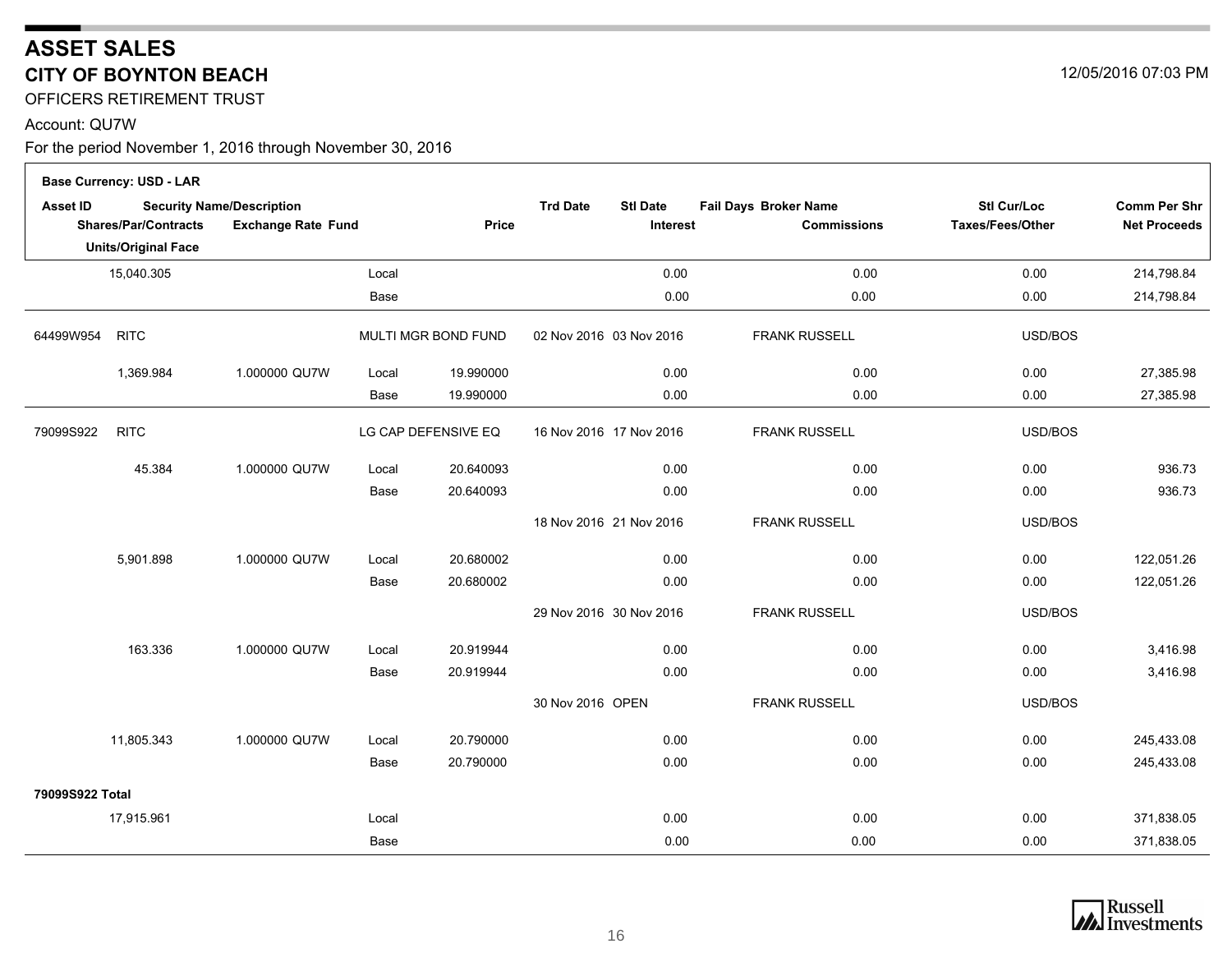OFFICERS RETIREMENT TRUST

#### Account: QU7W

 $\Gamma$ 

|                 | <b>Base Currency: USD - LAR</b> |                                                               |       |                     |                                                |                                             |                                        |                                            |
|-----------------|---------------------------------|---------------------------------------------------------------|-------|---------------------|------------------------------------------------|---------------------------------------------|----------------------------------------|--------------------------------------------|
| <b>Asset ID</b> | <b>Shares/Par/Contracts</b>     | <b>Security Name/Description</b><br><b>Exchange Rate Fund</b> |       | Price               | <b>Trd Date</b><br><b>Stl Date</b><br>Interest | Fail Days Broker Name<br><b>Commissions</b> | <b>Stl Cur/Loc</b><br>Taxes/Fees/Other | <b>Comm Per Shr</b><br><b>Net Proceeds</b> |
|                 | <b>Units/Original Face</b>      |                                                               |       |                     |                                                |                                             |                                        |                                            |
|                 | 15,040.305                      |                                                               | Local |                     | 0.00                                           | 0.00                                        | 0.00                                   | 214,798.84                                 |
|                 |                                 |                                                               | Base  |                     | 0.00                                           | 0.00                                        | 0.00                                   | 214,798.84                                 |
| 64499W954       | <b>RITC</b>                     |                                                               |       | MULTI MGR BOND FUND | 02 Nov 2016 03 Nov 2016                        | <b>FRANK RUSSELL</b>                        | USD/BOS                                |                                            |
|                 | 1,369.984                       | 1.000000 QU7W                                                 | Local | 19.990000           | 0.00                                           | 0.00                                        | 0.00                                   | 27,385.98                                  |
|                 |                                 |                                                               | Base  | 19.990000           | 0.00                                           | 0.00                                        | 0.00                                   | 27,385.98                                  |
| 79099S922       | <b>RITC</b>                     |                                                               |       | LG CAP DEFENSIVE EQ | 16 Nov 2016 17 Nov 2016                        | <b>FRANK RUSSELL</b>                        | USD/BOS                                |                                            |
|                 | 45.384                          | 1.000000 QU7W                                                 | Local | 20.640093           | 0.00                                           | 0.00                                        | 0.00                                   | 936.73                                     |
|                 |                                 |                                                               | Base  | 20.640093           | 0.00                                           | 0.00                                        | 0.00                                   | 936.73                                     |
|                 |                                 |                                                               |       |                     | 18 Nov 2016 21 Nov 2016                        | <b>FRANK RUSSELL</b>                        | USD/BOS                                |                                            |
|                 | 5,901.898                       | 1.000000 QU7W                                                 | Local | 20.680002           | 0.00                                           | 0.00                                        | 0.00                                   | 122,051.26                                 |
|                 |                                 |                                                               | Base  | 20.680002           | 0.00                                           | 0.00                                        | 0.00                                   | 122,051.26                                 |
|                 |                                 |                                                               |       |                     | 29 Nov 2016 30 Nov 2016                        | <b>FRANK RUSSELL</b>                        | USD/BOS                                |                                            |
|                 | 163.336                         | 1.000000 QU7W                                                 | Local | 20.919944           | 0.00                                           | 0.00                                        | 0.00                                   | 3,416.98                                   |
|                 |                                 |                                                               | Base  | 20.919944           | 0.00                                           | 0.00                                        | 0.00                                   | 3,416.98                                   |
|                 |                                 |                                                               |       |                     | 30 Nov 2016 OPEN                               | <b>FRANK RUSSELL</b>                        | USD/BOS                                |                                            |
|                 | 11,805.343                      | 1.000000 QU7W                                                 | Local | 20.790000           | 0.00                                           | 0.00                                        | 0.00                                   | 245,433.08                                 |
|                 |                                 |                                                               | Base  | 20.790000           | 0.00                                           | 0.00                                        | 0.00                                   | 245,433.08                                 |
| 79099S922 Total |                                 |                                                               |       |                     |                                                |                                             |                                        |                                            |
|                 | 17,915.961                      |                                                               | Local |                     | 0.00                                           | 0.00                                        | 0.00                                   | 371,838.05                                 |
|                 |                                 |                                                               | Base  |                     | 0.00                                           | 0.00                                        | 0.00                                   | 371,838.05                                 |



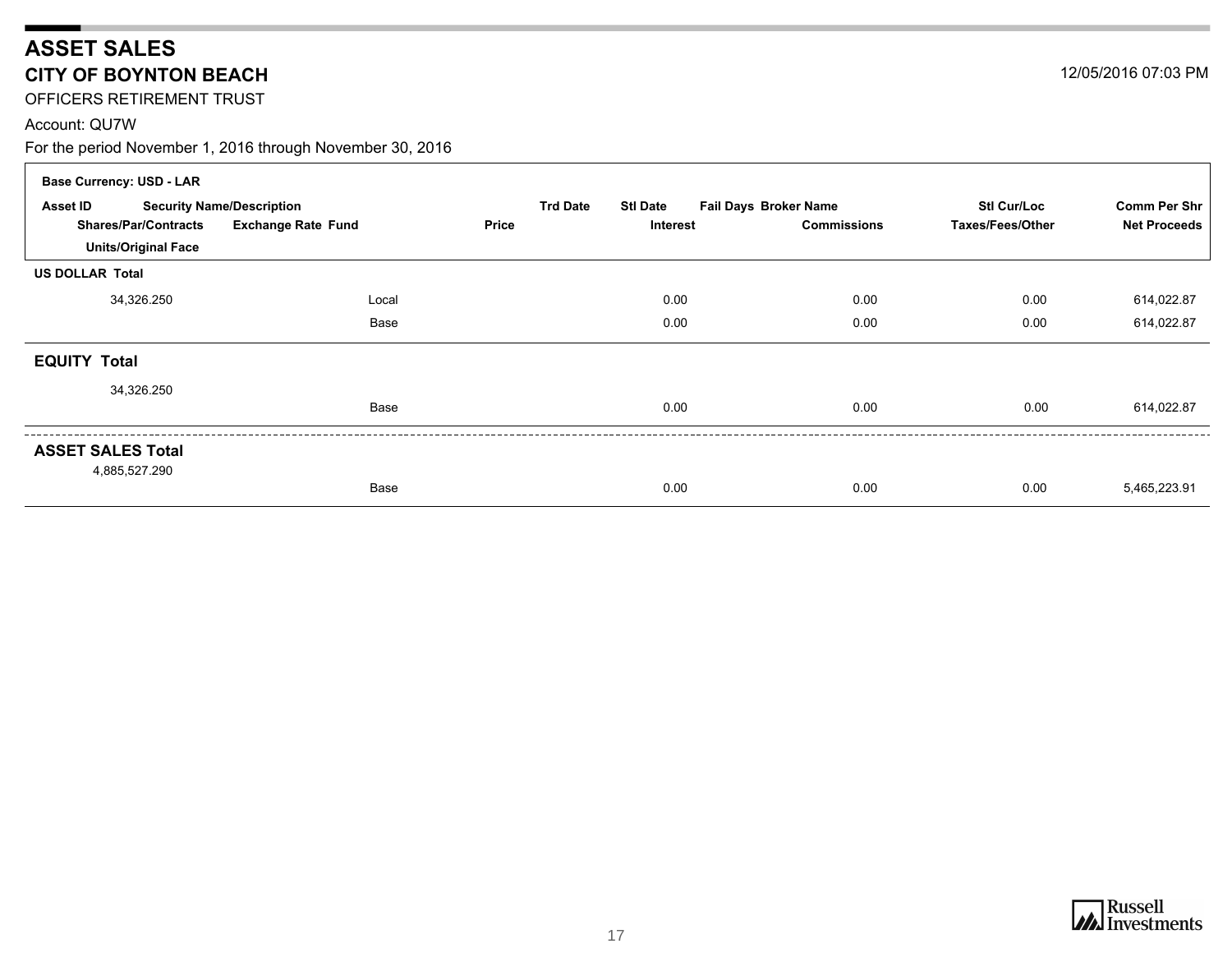OFFICERS RETIREMENT TRUST

#### Account: QU7W

For the period November 1, 2016 through November 30, 2016

| <b>Base Currency: USD - LAR</b> |                                  |                           |                 |                 |                              |                    |                     |
|---------------------------------|----------------------------------|---------------------------|-----------------|-----------------|------------------------------|--------------------|---------------------|
| Asset ID                        | <b>Security Name/Description</b> |                           | <b>Trd Date</b> | <b>Stl Date</b> | <b>Fail Days Broker Name</b> | <b>Stl Cur/Loc</b> | <b>Comm Per Shr</b> |
| <b>Shares/Par/Contracts</b>     |                                  | <b>Exchange Rate Fund</b> | <b>Price</b>    | <b>Interest</b> | <b>Commissions</b>           | Taxes/Fees/Other   | <b>Net Proceeds</b> |
| <b>Units/Original Face</b>      |                                  |                           |                 |                 |                              |                    |                     |
| <b>US DOLLAR Total</b>          |                                  |                           |                 |                 |                              |                    |                     |
| 34,326.250                      |                                  | Local                     |                 | 0.00            | 0.00                         | 0.00               | 614,022.87          |
|                                 |                                  | Base                      |                 | 0.00            | 0.00                         | 0.00               | 614,022.87          |
| <b>EQUITY Total</b>             |                                  |                           |                 |                 |                              |                    |                     |
| 34,326.250                      |                                  |                           |                 |                 |                              |                    |                     |
|                                 |                                  | Base                      |                 | 0.00            | 0.00                         | 0.00               | 614,022.87          |
| <b>ASSET SALES Total</b>        |                                  |                           |                 |                 |                              |                    |                     |
| 4,885,527.290                   |                                  | Base                      |                 | 0.00            | 0.00                         | 0.00               | 5,465,223.91        |

12/05/2016 07:03 PM

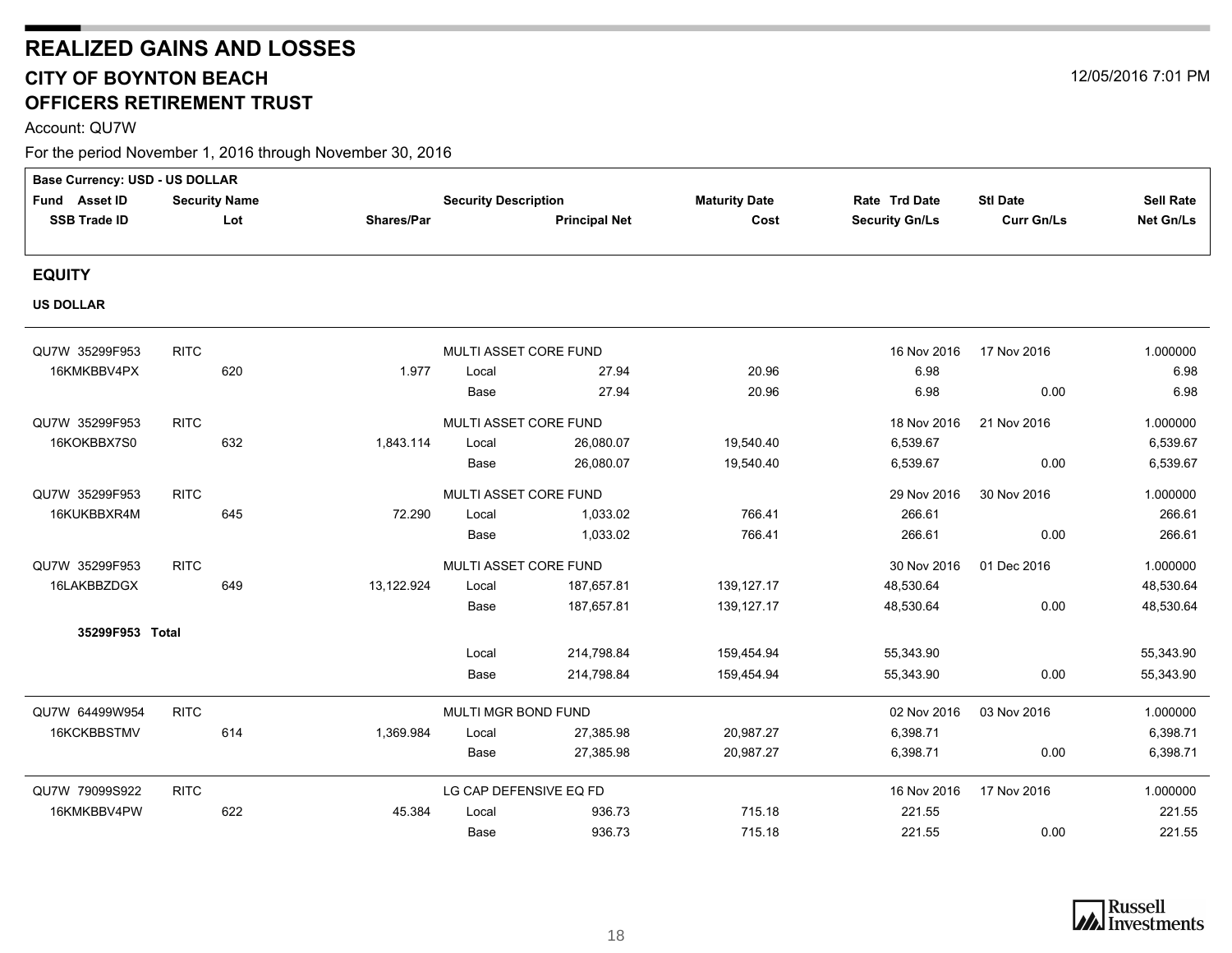## <span id="page-17-0"></span>**REALIZED GAINS AND LOSSES CITY OF BOYNTON BEACH** 12/05/2016 7:01 PM **OFFICERS RETIREMENT TRUST**

Account: QU7W

| Base Currency: USD - US DOLLAR |                      |     |            |                             |                      |                      |                       |                   |                  |
|--------------------------------|----------------------|-----|------------|-----------------------------|----------------------|----------------------|-----------------------|-------------------|------------------|
| Fund Asset ID                  | <b>Security Name</b> |     |            | <b>Security Description</b> |                      | <b>Maturity Date</b> | Rate Trd Date         | <b>Stl Date</b>   | <b>Sell Rate</b> |
| <b>SSB Trade ID</b>            |                      | Lot | Shares/Par |                             | <b>Principal Net</b> | Cost                 | <b>Security Gn/Ls</b> | <b>Curr Gn/Ls</b> | Net Gn/Ls        |
|                                |                      |     |            |                             |                      |                      |                       |                   |                  |
| <b>EQUITY</b>                  |                      |     |            |                             |                      |                      |                       |                   |                  |
| <b>US DOLLAR</b>               |                      |     |            |                             |                      |                      |                       |                   |                  |
| QU7W 35299F953                 | <b>RITC</b>          |     |            | MULTI ASSET CORE FUND       |                      |                      | 16 Nov 2016           | 17 Nov 2016       | 1.000000         |
| 16KMKBBV4PX                    |                      | 620 | 1.977      | Local                       | 27.94                | 20.96                | 6.98                  |                   | 6.98             |
|                                |                      |     |            | Base                        | 27.94                | 20.96                | 6.98                  | 0.00              | 6.98             |
| QU7W 35299F953                 | <b>RITC</b>          |     |            | MULTI ASSET CORE FUND       |                      |                      | 18 Nov 2016           | 21 Nov 2016       | 1.000000         |
| 16KOKBBX7S0                    |                      | 632 | 1,843.114  | Local                       | 26.080.07            | 19,540.40            | 6,539.67              |                   | 6,539.67         |
|                                |                      |     |            | Base                        | 26,080.07            | 19,540.40            | 6,539.67              | 0.00              | 6,539.67         |
| QU7W 35299F953                 | <b>RITC</b>          |     |            | MULTI ASSET CORE FUND       |                      |                      | 29 Nov 2016           | 30 Nov 2016       | 1.000000         |
| 16KUKBBXR4M                    |                      | 645 | 72.290     | Local                       | 1.033.02             | 766.41               | 266.61                |                   | 266.61           |
|                                |                      |     |            | Base                        | 1,033.02             | 766.41               | 266.61                | 0.00              | 266.61           |
| QU7W 35299F953                 | <b>RITC</b>          |     |            | MULTI ASSET CORE FUND       |                      |                      | 30 Nov 2016           | 01 Dec 2016       | 1.000000         |
| 16LAKBBZDGX                    |                      | 649 | 13,122.924 | Local                       | 187,657.81           | 139, 127. 17         | 48,530.64             |                   | 48,530.64        |
|                                |                      |     |            | Base                        | 187,657.81           | 139,127.17           | 48,530.64             | 0.00              | 48,530.64        |
| 35299F953 Total                |                      |     |            |                             |                      |                      |                       |                   |                  |
|                                |                      |     |            | Local                       | 214,798.84           | 159,454.94           | 55,343.90             |                   | 55,343.90        |
|                                |                      |     |            | Base                        | 214,798.84           | 159,454.94           | 55,343.90             | 0.00              | 55,343.90        |
| QU7W 64499W954                 | <b>RITC</b>          |     |            | MULTI MGR BOND FUND         |                      |                      | 02 Nov 2016           | 03 Nov 2016       | 1.000000         |
| 16KCKBBSTMV                    |                      | 614 | 1,369.984  | Local                       | 27,385.98            | 20,987.27            | 6,398.71              |                   | 6,398.71         |
|                                |                      |     |            | Base                        | 27,385.98            | 20,987.27            | 6,398.71              | 0.00              | 6,398.71         |
| QU7W 79099S922                 | <b>RITC</b>          |     |            | LG CAP DEFENSIVE EQ FD      |                      |                      | 16 Nov 2016           | 17 Nov 2016       | 1.000000         |
| 16KMKBBV4PW                    |                      | 622 | 45.384     | Local                       | 936.73               | 715.18               | 221.55                |                   | 221.55           |
|                                |                      |     |            | Base                        | 936.73               | 715.18               | 221.55                | 0.00              | 221.55           |

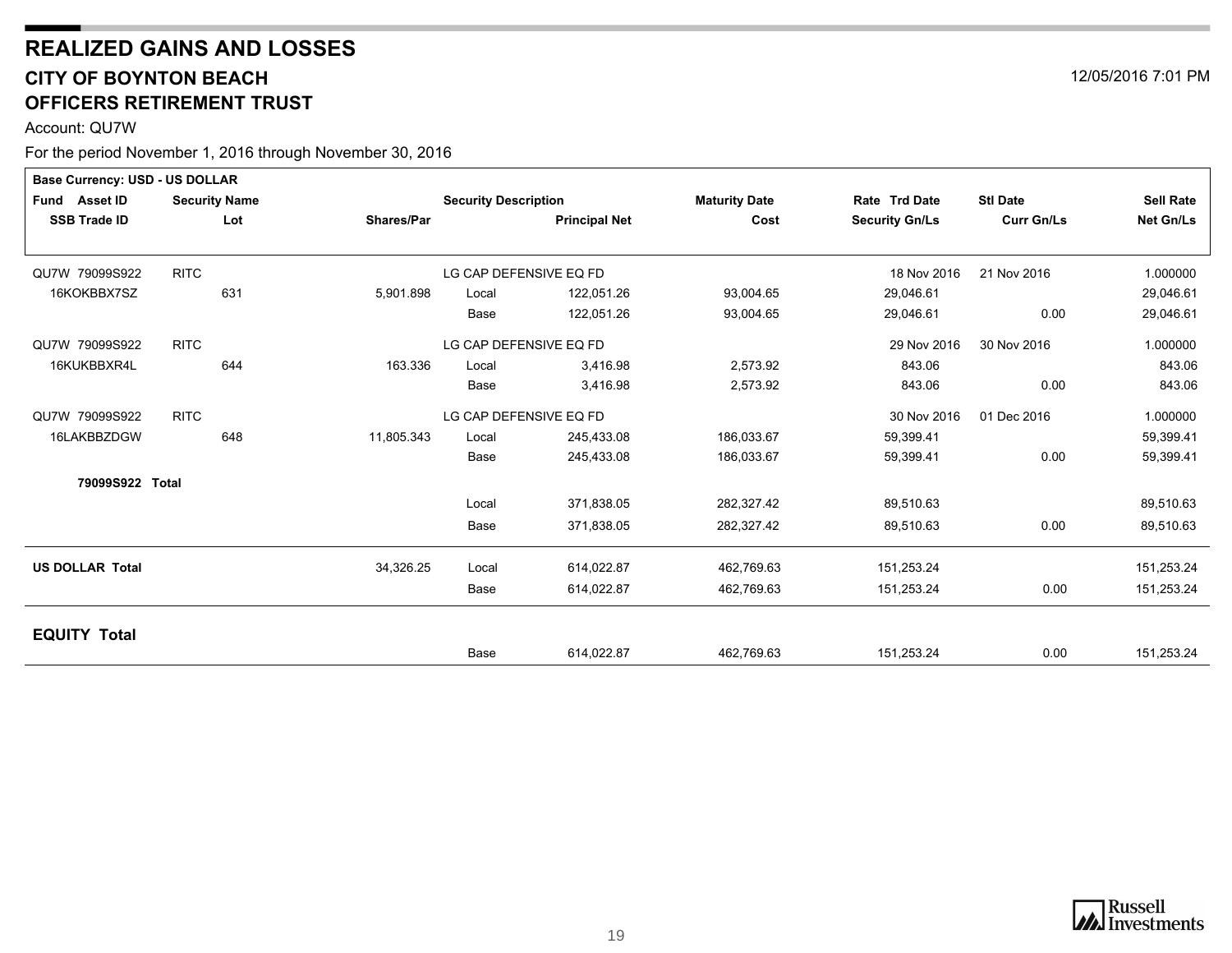## **REALIZED GAINS AND LOSSES CITY OF BOYNTON BEACH** 12/05/2016 7:01 PM **OFFICERS RETIREMENT TRUST**

Account: QU7W

| <b>Base Currency: USD - US DOLLAR</b> |                      |            |                             |                        |                      |                       |                   |                  |
|---------------------------------------|----------------------|------------|-----------------------------|------------------------|----------------------|-----------------------|-------------------|------------------|
| Fund Asset ID                         | <b>Security Name</b> |            | <b>Security Description</b> |                        | <b>Maturity Date</b> | Rate Trd Date         | <b>Stl Date</b>   | <b>Sell Rate</b> |
| <b>SSB Trade ID</b>                   | Lot                  | Shares/Par |                             | <b>Principal Net</b>   | Cost                 | <b>Security Gn/Ls</b> | <b>Curr Gn/Ls</b> | Net Gn/Ls        |
|                                       |                      |            |                             |                        |                      |                       |                   |                  |
| QU7W 79099S922                        | <b>RITC</b>          |            |                             | LG CAP DEFENSIVE EQ FD |                      | 18 Nov 2016           | 21 Nov 2016       | 1.000000         |
| 16KOKBBX7SZ                           | 631                  | 5,901.898  | Local                       | 122,051.26             | 93,004.65            | 29,046.61             |                   | 29,046.61        |
|                                       |                      |            | Base                        | 122,051.26             | 93,004.65            | 29,046.61             | 0.00              | 29,046.61        |
| QU7W 79099S922                        | <b>RITC</b>          |            |                             | LG CAP DEFENSIVE EQ FD |                      | 29 Nov 2016           | 30 Nov 2016       | 1.000000         |
| 16KUKBBXR4L                           | 644                  | 163.336    | Local                       | 3,416.98               | 2,573.92             | 843.06                |                   | 843.06           |
|                                       |                      |            | Base                        | 3,416.98               | 2,573.92             | 843.06                | 0.00              | 843.06           |
| QU7W 79099S922                        | <b>RITC</b>          |            |                             | LG CAP DEFENSIVE EQ FD |                      | 30 Nov 2016           | 01 Dec 2016       | 1.000000         |
| 16LAKBBZDGW                           | 648                  | 11,805.343 | Local                       | 245,433.08             | 186,033.67           | 59,399.41             |                   | 59,399.41        |
|                                       |                      |            | Base                        | 245,433.08             | 186,033.67           | 59,399.41             | 0.00              | 59,399.41        |
| 79099S922 Total                       |                      |            |                             |                        |                      |                       |                   |                  |
|                                       |                      |            | Local                       | 371,838.05             | 282,327.42           | 89,510.63             |                   | 89,510.63        |
|                                       |                      |            | Base                        | 371,838.05             | 282,327.42           | 89,510.63             | 0.00              | 89,510.63        |
| <b>US DOLLAR Total</b>                |                      | 34,326.25  | Local                       | 614,022.87             | 462,769.63           | 151,253.24            |                   | 151,253.24       |
|                                       |                      |            | Base                        | 614,022.87             | 462,769.63           | 151,253.24            | 0.00              | 151,253.24       |
|                                       |                      |            |                             |                        |                      |                       |                   |                  |
| <b>EQUITY Total</b>                   |                      |            | <b>Base</b>                 | 614,022.87             | 462,769.63           | 151,253.24            | 0.00              | 151,253.24       |



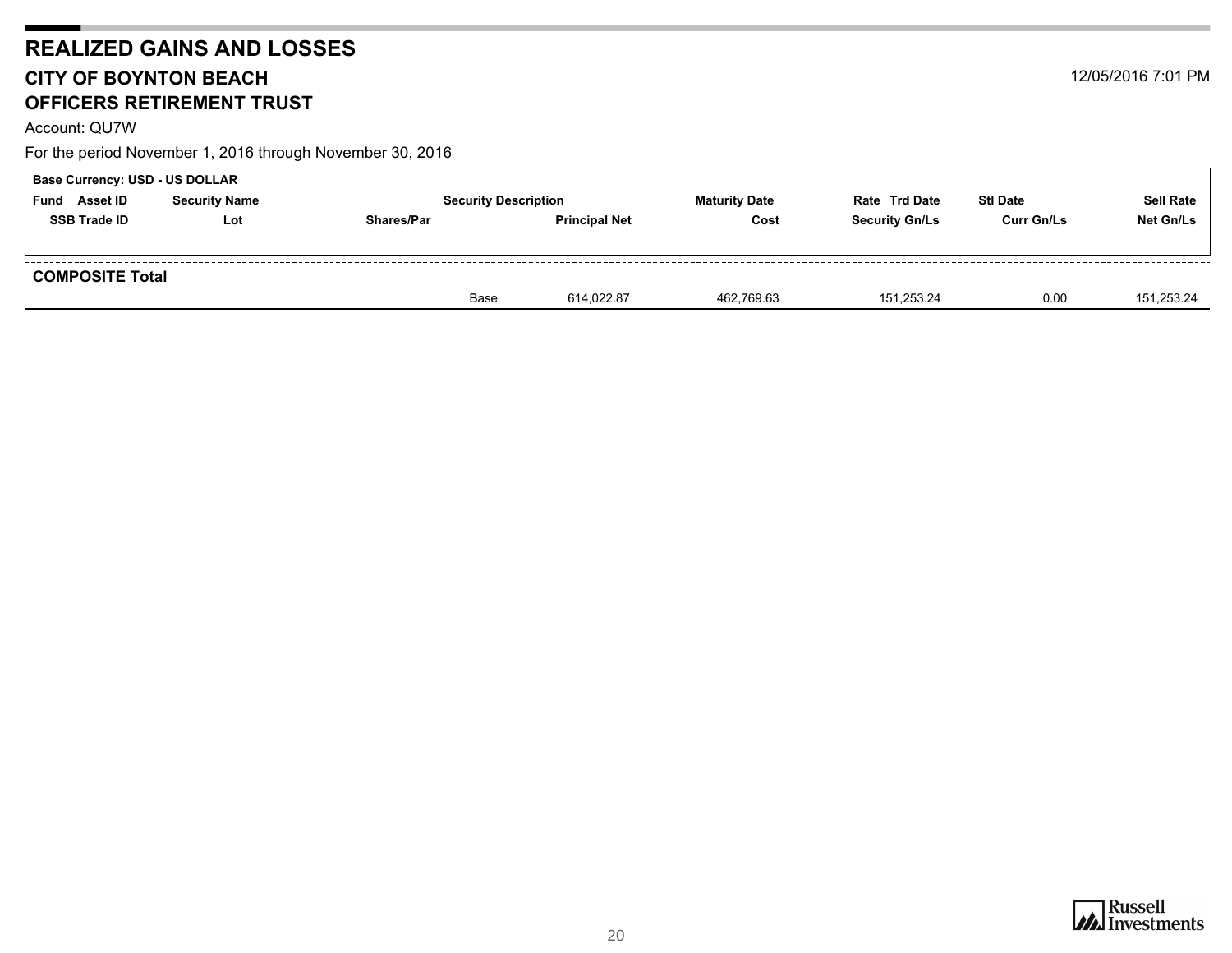## **REALIZED GAINS AND LOSSES CITY OF BOYNTON BEACH** 12/05/2016 7:01 PM **OFFICERS RETIREMENT TRUST**

Account: QU7W

| <b>Base Currency: USD - US DOLLAR</b> |                      |                   |                             |                      |                       |                   |                  |
|---------------------------------------|----------------------|-------------------|-----------------------------|----------------------|-----------------------|-------------------|------------------|
| Asset ID<br>Fund                      | <b>Security Name</b> |                   | <b>Security Description</b> | <b>Maturity Date</b> | <b>Rate Trd Date</b>  | <b>Stl Date</b>   | <b>Sell Rate</b> |
| <b>SSB Trade ID</b>                   | Lot                  | <b>Shares/Par</b> | <b>Principal Net</b>        | Cost                 | <b>Security Gn/Ls</b> | <b>Curr Gn/Ls</b> | Net Gn/Ls        |
|                                       |                      |                   |                             |                      |                       |                   |                  |
| <b>COMPOSITE Total</b>                |                      |                   |                             |                      |                       |                   |                  |
|                                       |                      | Base              | 614.022.87                  | 462,769.63           | 151,253.24            | 0.00              | 151,253.24       |

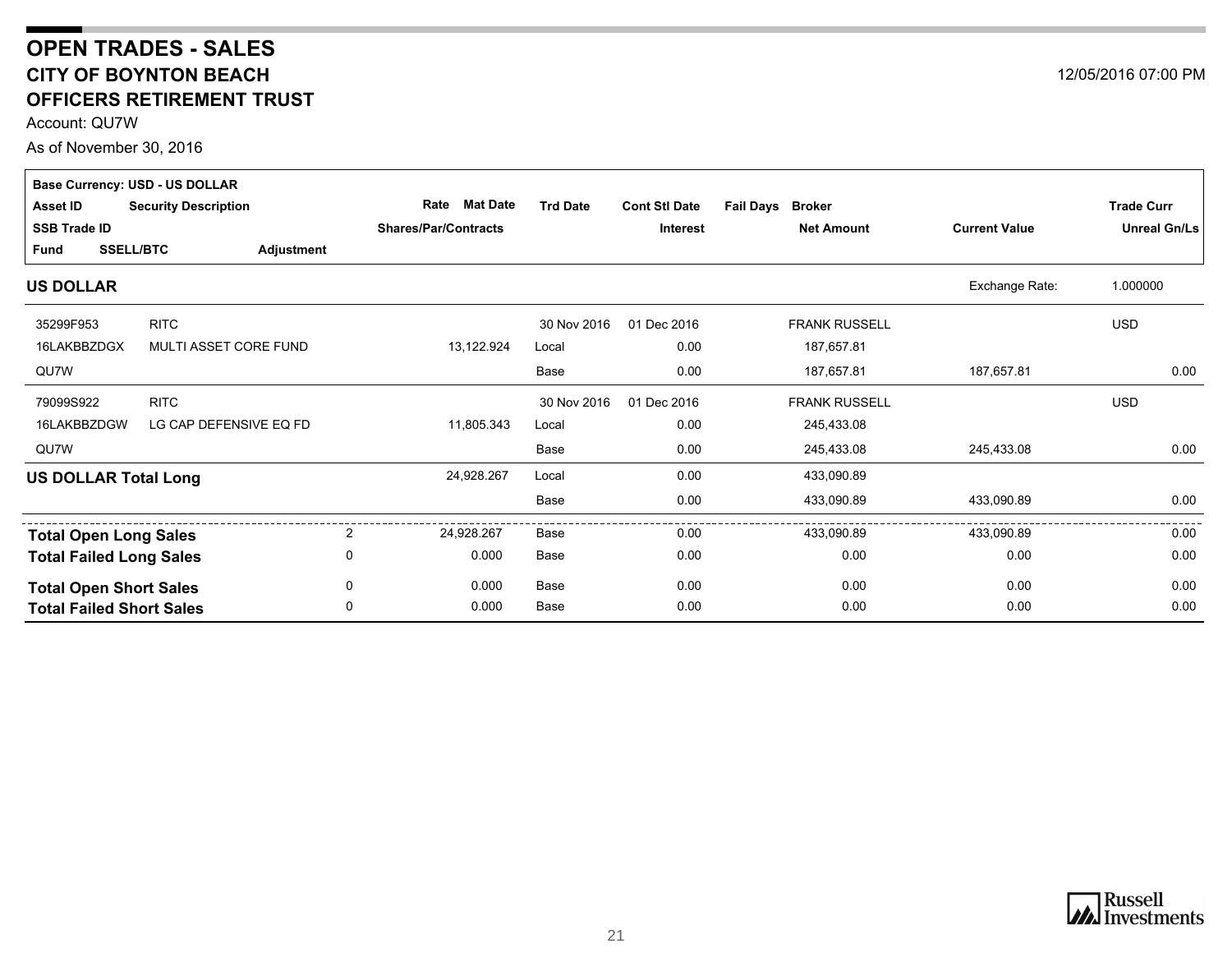### <span id="page-20-0"></span>**CITY OF BOYNTON BEACH OFFICERS RETIREMENT TRUST OPEN TRADES - SALES**

Account: QU7W

As of November 30, 2016

|                     | Base Currency: USD - US DOLLAR  |                             |   |                             |                 |                      |                                   |                      |                     |
|---------------------|---------------------------------|-----------------------------|---|-----------------------------|-----------------|----------------------|-----------------------------------|----------------------|---------------------|
| <b>Asset ID</b>     |                                 | <b>Security Description</b> |   | Mat Date<br>Rate            | <b>Trd Date</b> | <b>Cont StI Date</b> | <b>Fail Days</b><br><b>Broker</b> |                      | <b>Trade Curr</b>   |
| <b>SSB Trade ID</b> |                                 |                             |   | <b>Shares/Par/Contracts</b> |                 | <b>Interest</b>      | <b>Net Amount</b>                 | <b>Current Value</b> | <b>Unreal Gn/Ls</b> |
| <b>Fund</b>         | <b>SSELL/BTC</b>                | Adjustment                  |   |                             |                 |                      |                                   |                      |                     |
| <b>US DOLLAR</b>    |                                 |                             |   |                             |                 |                      |                                   | Exchange Rate:       | 1.000000            |
| 35299F953           | <b>RITC</b>                     |                             |   |                             | 30 Nov 2016     | 01 Dec 2016          | <b>FRANK RUSSELL</b>              |                      | <b>USD</b>          |
| 16LAKBBZDGX         |                                 | MULTI ASSET CORE FUND       |   | 13,122.924                  | Local           | 0.00                 | 187,657.81                        |                      |                     |
| QU7W                |                                 |                             |   |                             | Base            | 0.00                 | 187,657.81                        | 187,657.81           | 0.00                |
| 79099S922           | <b>RITC</b>                     |                             |   |                             | 30 Nov 2016     | 01 Dec 2016          | FRANK RUSSELL                     |                      | <b>USD</b>          |
| 16LAKBBZDGW         |                                 | LG CAP DEFENSIVE EQ FD      |   | 11,805.343                  | Local           | 0.00                 | 245,433.08                        |                      |                     |
| QU7W                |                                 |                             |   |                             | Base            | 0.00                 | 245,433.08                        | 245,433.08           | 0.00                |
|                     | <b>US DOLLAR Total Long</b>     |                             |   | 24,928.267                  | Local           | 0.00                 | 433,090.89                        |                      |                     |
|                     |                                 |                             |   |                             | Base            | 0.00                 | 433,090.89                        | 433,090.89           | 0.00                |
|                     | <b>Total Open Long Sales</b>    |                             | 2 | 24.928.267                  | Base            | 0.00                 | 433.090.89                        | 433,090.89           | 0.00                |
|                     | <b>Total Failed Long Sales</b>  |                             | 0 | 0.000                       | Base            | 0.00                 | 0.00                              | 0.00                 | 0.00                |
|                     | <b>Total Open Short Sales</b>   |                             | 0 | 0.000                       | Base            | 0.00                 | 0.00                              | 0.00                 | 0.00                |
|                     | <b>Total Failed Short Sales</b> |                             | 0 | 0.000                       | Base            | 0.00                 | 0.00                              | 0.00                 | 0.00                |



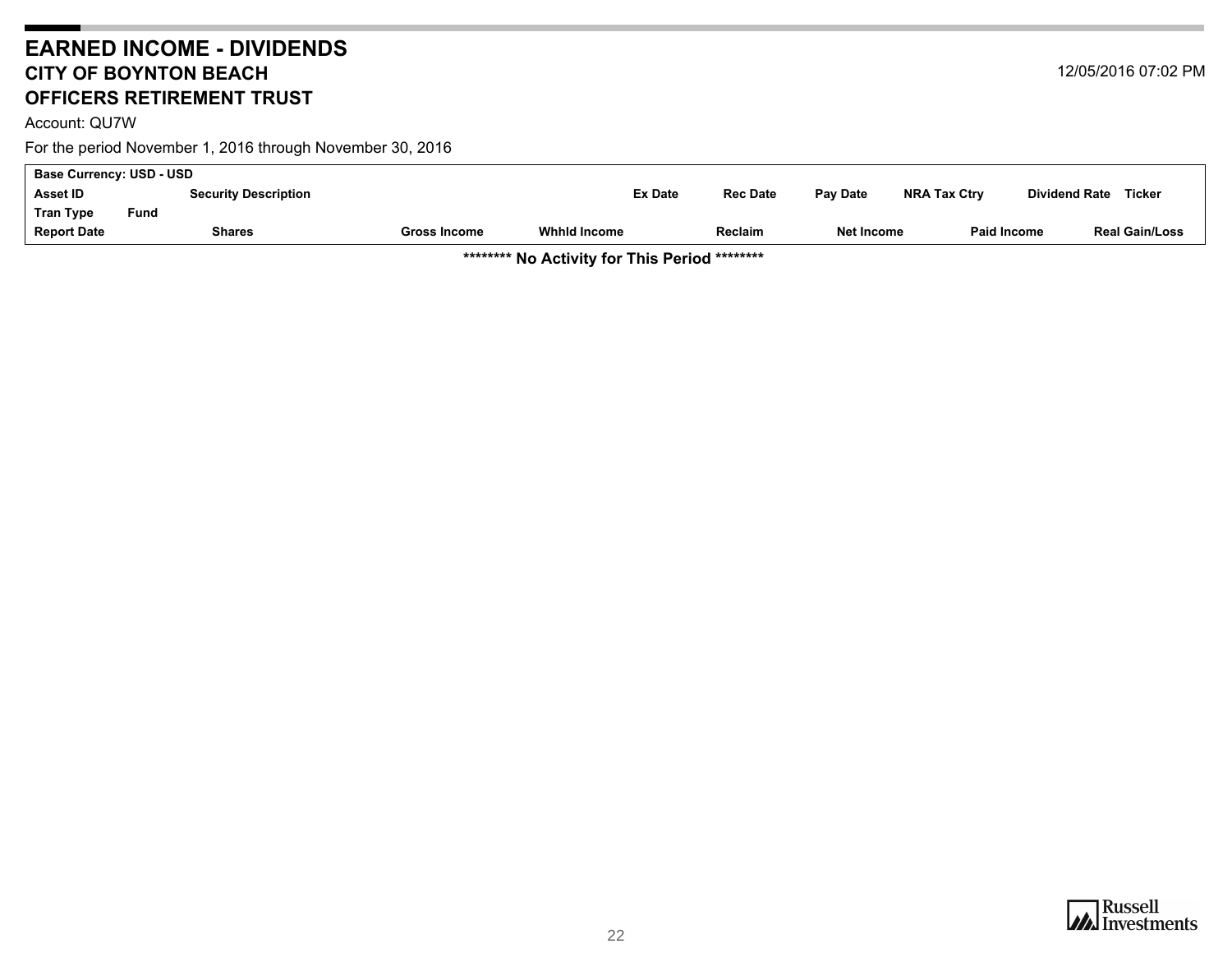### <span id="page-21-0"></span>**EARNED INCOME - DIVIDENDS CITY OF BOYNTON BEACH OFFICERS RETIREMENT TRUST**

Account: QU7W

For the period November 1, 2016 through November 30, 2016

| <b>Report Date</b>              | <b>Shares</b> |                             | Gross Income | <b>Whhid Income</b> |                | <b>Reclaim</b>  | Net Income | <b>Paid Income</b>  |                      | <b>Real Gain/Loss</b> |
|---------------------------------|---------------|-----------------------------|--------------|---------------------|----------------|-----------------|------------|---------------------|----------------------|-----------------------|
| <b>Tran Type</b>                | Fund          |                             |              |                     |                |                 |            |                     |                      |                       |
| <b>Asset ID</b>                 |               | <b>Security Description</b> |              |                     | <b>Ex Date</b> | <b>Rec Date</b> | Pay Date   | <b>NRA Tax Ctry</b> | <b>Dividend Rate</b> | Ticker                |
| <b>Base Currency: USD - USD</b> |               |                             |              |                     |                |                 |            |                     |                      |                       |

**\*\*\*\*\*\*\*\* No Activity for This Period \*\*\*\*\*\*\*\***

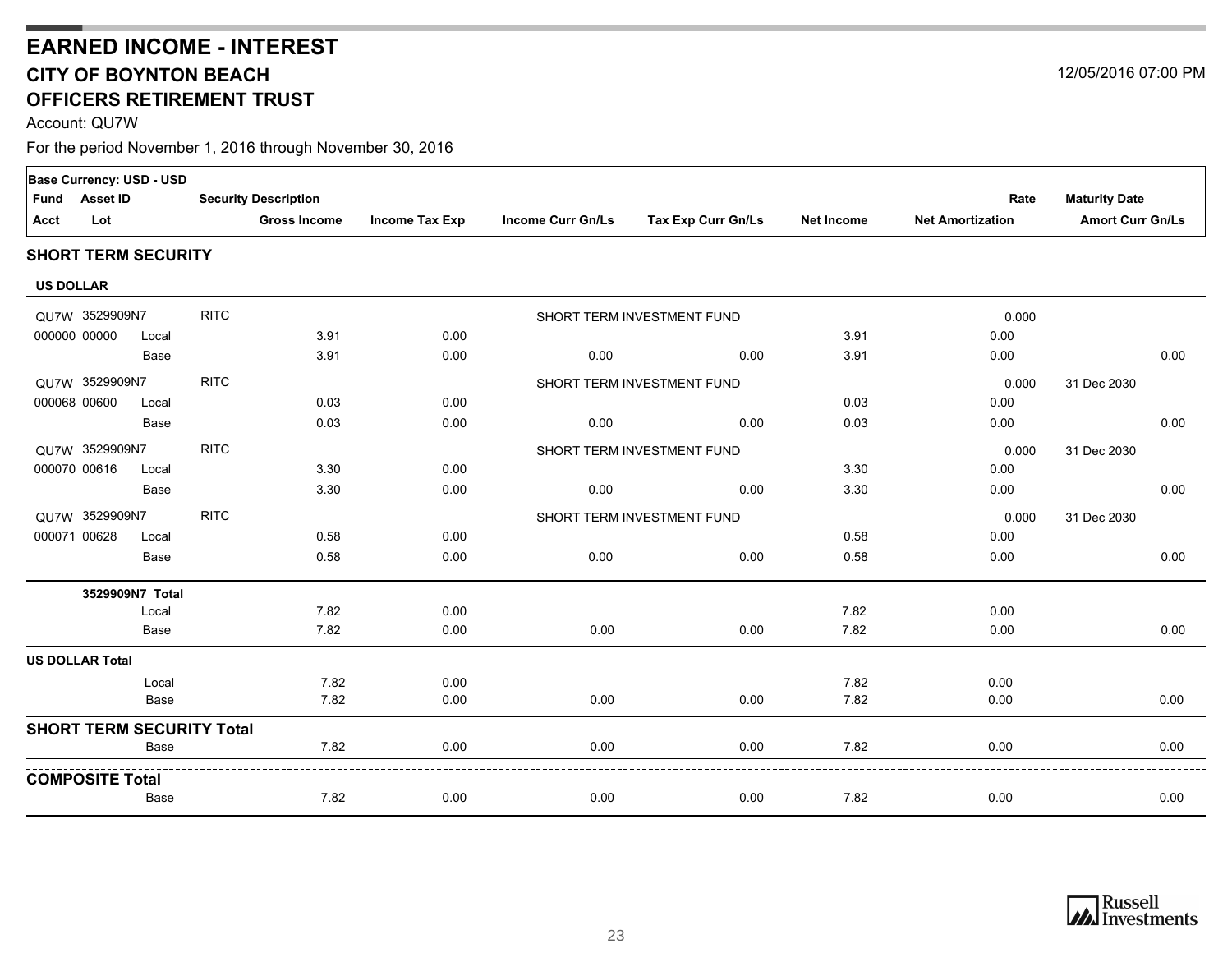## **CITY OF BOYNTON BEACH OFFICERS RETIREMENT TRUSTEARNED INCOME - INTEREST**

Account: QU7W

|                  |                        | Base Currency: USD - USD   |                                  |                             |                |                          |                            |                   |                         |                         |      |
|------------------|------------------------|----------------------------|----------------------------------|-----------------------------|----------------|--------------------------|----------------------------|-------------------|-------------------------|-------------------------|------|
| <b>Fund</b>      | <b>Asset ID</b>        |                            |                                  | <b>Security Description</b> |                |                          |                            |                   | Rate                    | <b>Maturity Date</b>    |      |
| Acct             | Lot                    |                            |                                  | <b>Gross Income</b>         | Income Tax Exp | <b>Income Curr Gn/Ls</b> | Tax Exp Curr Gn/Ls         | <b>Net Income</b> | <b>Net Amortization</b> | <b>Amort Curr Gn/Ls</b> |      |
|                  |                        | <b>SHORT TERM SECURITY</b> |                                  |                             |                |                          |                            |                   |                         |                         |      |
| <b>US DOLLAR</b> |                        |                            |                                  |                             |                |                          |                            |                   |                         |                         |      |
|                  | QU7W 3529909N7         |                            | <b>RITC</b>                      |                             |                |                          | SHORT TERM INVESTMENT FUND |                   | 0.000                   |                         |      |
|                  | 000000 00000           | Local                      |                                  | 3.91                        | 0.00           |                          |                            | 3.91              | 0.00                    |                         |      |
|                  |                        | <b>Base</b>                |                                  | 3.91                        | 0.00           | 0.00                     | 0.00                       | 3.91              | 0.00                    |                         | 0.00 |
|                  | QU7W 3529909N7         |                            | <b>RITC</b>                      |                             |                |                          | SHORT TERM INVESTMENT FUND |                   | 0.000                   | 31 Dec 2030             |      |
|                  | 000068 00600           | Local                      |                                  | 0.03                        | 0.00           |                          |                            | 0.03              | 0.00                    |                         |      |
|                  |                        | Base                       |                                  | 0.03                        | 0.00           | 0.00                     | 0.00                       | 0.03              | 0.00                    |                         | 0.00 |
|                  | QU7W 3529909N7         |                            | <b>RITC</b>                      |                             |                |                          | SHORT TERM INVESTMENT FUND |                   | 0.000                   | 31 Dec 2030             |      |
|                  | 000070 00616           | Local                      |                                  | 3.30                        | 0.00           |                          |                            | 3.30              | 0.00                    |                         |      |
|                  |                        | Base                       |                                  | 3.30                        | 0.00           | 0.00                     | 0.00                       | 3.30              | 0.00                    |                         | 0.00 |
|                  | QU7W 3529909N7         |                            | <b>RITC</b>                      |                             |                |                          | SHORT TERM INVESTMENT FUND |                   | 0.000                   | 31 Dec 2030             |      |
|                  | 000071 00628           | Local                      |                                  | 0.58                        | 0.00           |                          |                            | 0.58              | 0.00                    |                         |      |
|                  |                        | Base                       |                                  | 0.58                        | 0.00           | 0.00                     | 0.00                       | 0.58              | 0.00                    |                         | 0.00 |
|                  |                        | 3529909N7 Total            |                                  |                             |                |                          |                            |                   |                         |                         |      |
|                  |                        | Local                      |                                  | 7.82                        | 0.00           |                          |                            | 7.82              | 0.00                    |                         |      |
|                  |                        | Base                       |                                  | 7.82                        | 0.00           | 0.00                     | 0.00                       | 7.82              | 0.00                    |                         | 0.00 |
|                  | <b>US DOLLAR Total</b> |                            |                                  |                             |                |                          |                            |                   |                         |                         |      |
|                  |                        | Local                      |                                  | 7.82                        | 0.00           |                          |                            | 7.82              | 0.00                    |                         |      |
|                  |                        | Base                       |                                  | 7.82                        | 0.00           | 0.00                     | 0.00                       | 7.82              | 0.00                    |                         | 0.00 |
|                  |                        |                            | <b>SHORT TERM SECURITY Total</b> |                             |                |                          |                            |                   |                         |                         |      |
|                  |                        | Base                       |                                  | 7.82                        | 0.00           | 0.00                     | 0.00                       | 7.82              | 0.00                    |                         | 0.00 |
|                  | <b>COMPOSITE Total</b> |                            |                                  |                             |                |                          |                            |                   |                         |                         |      |
|                  |                        | Base                       |                                  | 7.82                        | 0.00           | 0.00                     | 0.00                       | 7.82              | 0.00                    |                         | 0.00 |



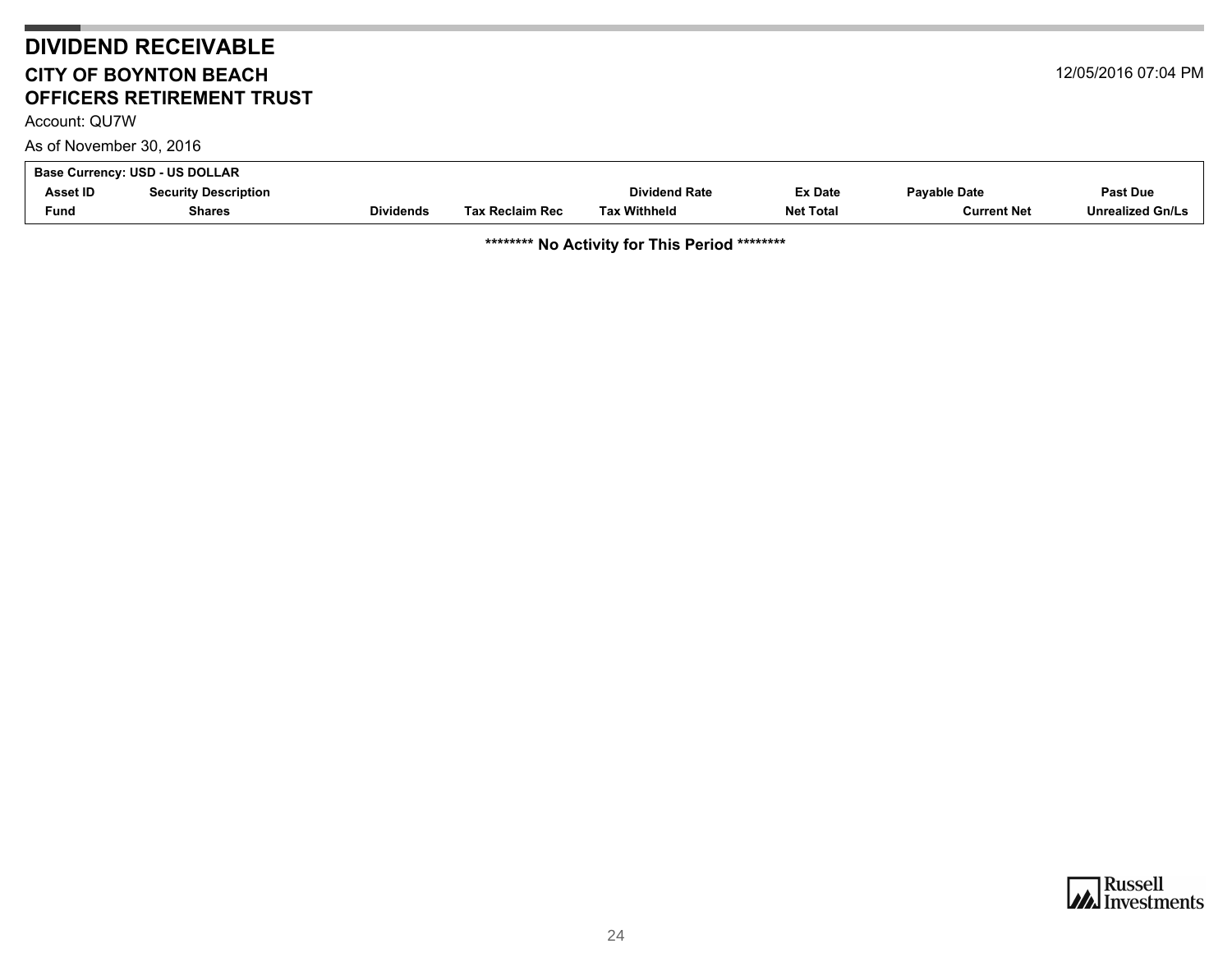## **DIVIDEND RECEIVABLE CITY OF BOYNTON BEACHOFFICERS RETIREMENT TRUST**

<span id="page-23-0"></span>Account: QU7W

As of November 30, 2016

| Base Currency: USD - US DOLLAR |                             |                  |                        |                      |                  |              |                  |  |
|--------------------------------|-----------------------------|------------------|------------------------|----------------------|------------------|--------------|------------------|--|
| Asset ID                       | <b>Security Description</b> |                  |                        | <b>Dividend Rate</b> | <b>Ex Date</b>   | Pavable Date | <b>Past Due</b>  |  |
| Fund                           | <b>Shares</b>               | <b>Dividends</b> | <b>Tax Reclaim Rec</b> | Tax Withheld         | <b>Net Total</b> | Current Net  | Unrealized Gn/Ls |  |

**\*\*\*\*\*\*\*\* No Activity for This Period \*\*\*\*\*\*\*\***



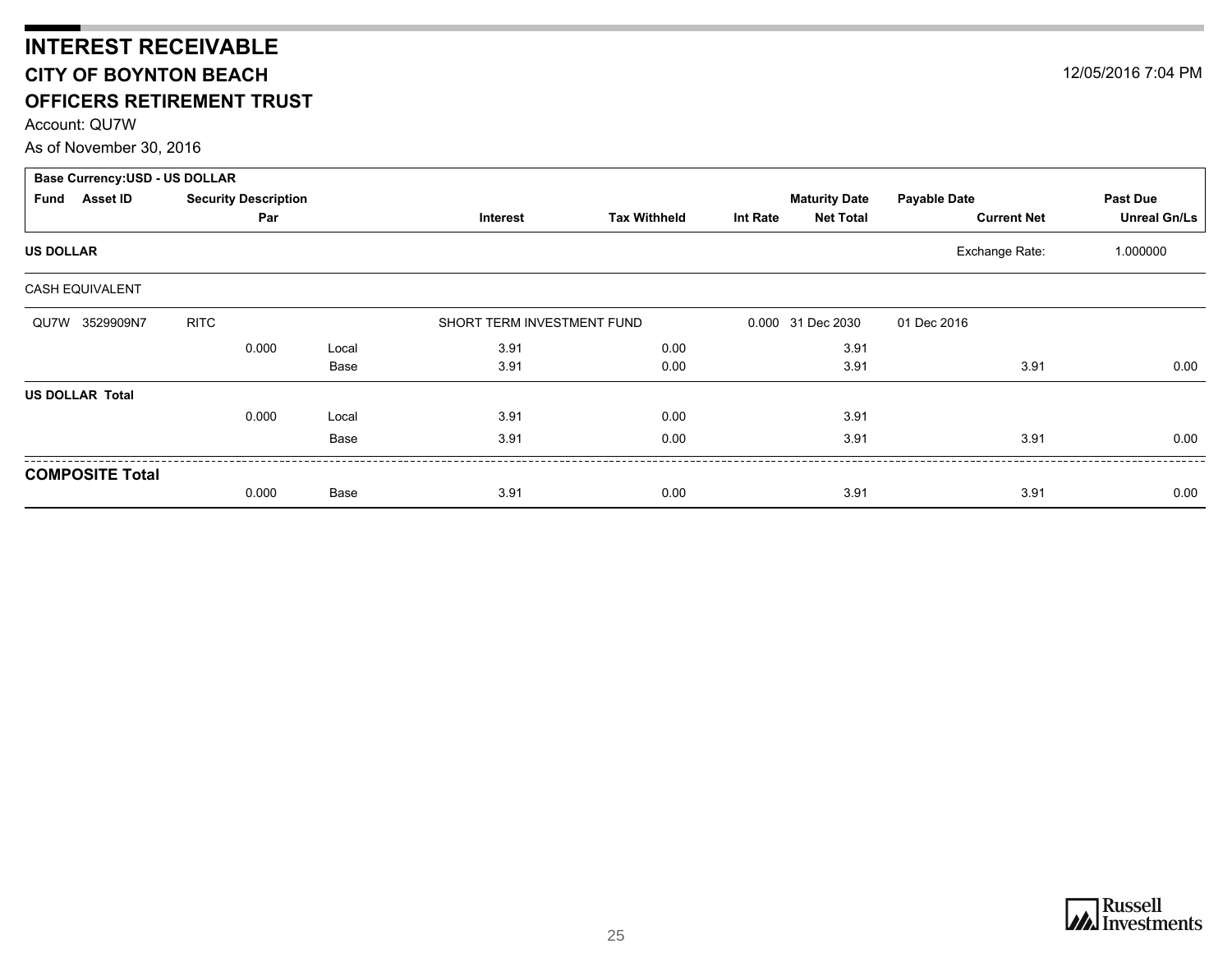## <span id="page-24-0"></span>**INTEREST RECEIVABLE CITY OF BOYNTON BEACH OFFICERS RETIREMENT TRUST**

Account: QU7W

As of November 30, 2016

| <b>Base Currency: USD - US DOLLAR</b> |                             |       |                            |                     |                 |                      |                     |                     |
|---------------------------------------|-----------------------------|-------|----------------------------|---------------------|-----------------|----------------------|---------------------|---------------------|
| <b>Asset ID</b><br>Fund               | <b>Security Description</b> |       |                            |                     |                 | <b>Maturity Date</b> | <b>Payable Date</b> | <b>Past Due</b>     |
|                                       | Par                         |       | Interest                   | <b>Tax Withheld</b> | <b>Int Rate</b> | <b>Net Total</b>     | <b>Current Net</b>  | <b>Unreal Gn/Ls</b> |
| <b>US DOLLAR</b>                      |                             |       |                            |                     |                 |                      | Exchange Rate:      | 1.000000            |
| CASH EQUIVALENT                       |                             |       |                            |                     |                 |                      |                     |                     |
| QU7W 3529909N7                        | <b>RITC</b>                 |       | SHORT TERM INVESTMENT FUND |                     |                 | 0.000 31 Dec 2030    | 01 Dec 2016         |                     |
|                                       | 0.000                       | Local | 3.91                       | 0.00                |                 | 3.91                 |                     |                     |
|                                       |                             | Base  | 3.91                       | 0.00                |                 | 3.91                 | 3.91                | 0.00                |
| <b>US DOLLAR Total</b>                |                             |       |                            |                     |                 |                      |                     |                     |
|                                       | 0.000                       | Local | 3.91                       | 0.00                |                 | 3.91                 |                     |                     |
|                                       |                             | Base  | 3.91                       | 0.00                |                 | 3.91                 | 3.91                | 0.00                |
| <b>COMPOSITE Total</b>                |                             |       |                            |                     |                 |                      |                     |                     |
|                                       | 0.000                       | Base  | 3.91                       | 0.00                |                 | 3.91                 | 3.91                | 0.00                |



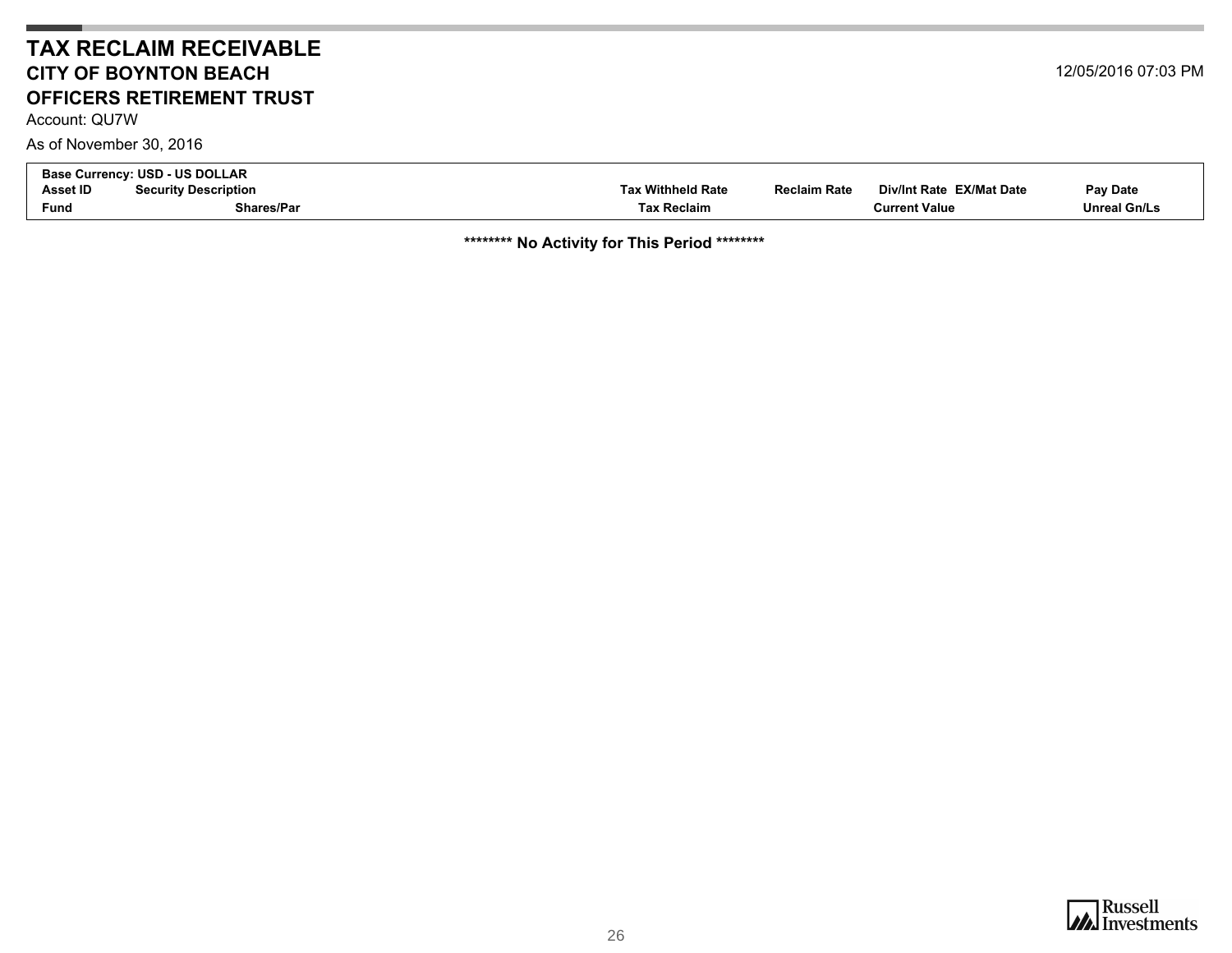### **TAX RECLAIM RECEIVABLECITY OF BOYNTON BEACHOFFICERS RETIREMENT TRUST**

Account: QU7W

As of November 30, 2016

<span id="page-25-0"></span>

| <b>Base Currency: USD - US DOLLAR</b> |                             |                   |                     |                          |                     |  |
|---------------------------------------|-----------------------------|-------------------|---------------------|--------------------------|---------------------|--|
| Asset ID                              | <b>Security Description</b> | Tax Withheld Rate | <b>Reclaim Rate</b> | Div/Int Rate EX/Mat Date | Pay Date            |  |
| <b>Fund</b>                           | Shares/Par                  | Tax Reclaim       |                     | Current Value            | <b>Unreal Gn/Ls</b> |  |

**\*\*\*\*\*\*\*\* No Activity for This Period \*\*\*\*\*\*\*\***

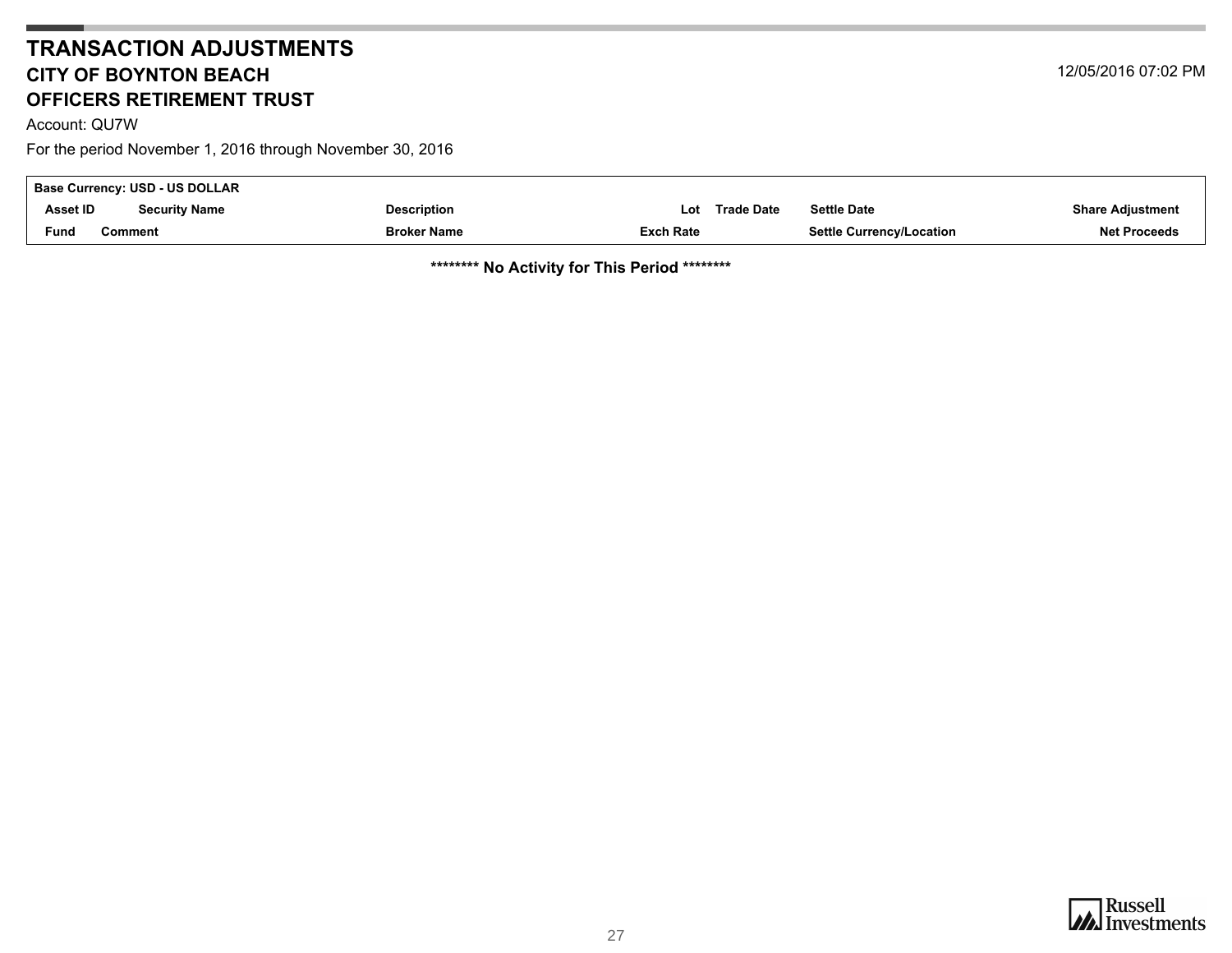### **TRANSACTION ADJUSTMENTSCITY OF BOYNTON BEACHOFFICERS RETIREMENT TRUST**

<span id="page-26-0"></span>Account: QU7W

For the period November 1, 2016 through November 30, 2016

| Base Currency: USD - US DOLLAR |                      |                    |           |                   |                                 |                         |  |  |
|--------------------------------|----------------------|--------------------|-----------|-------------------|---------------------------------|-------------------------|--|--|
| <b>Asset ID</b>                | <b>Security Name</b> | <b>Description</b> | ∟ot       | <b>Trade Date</b> | <b>Settle Date</b>              | <b>Share Adjustment</b> |  |  |
| Fund                           | Comment              | <b>Broker Name</b> | Exch Rate |                   | <b>Settle Currency/Location</b> | <b>Net Proceeds</b>     |  |  |

**\*\*\*\*\*\*\*\* No Activity for This Period \*\*\*\*\*\*\*\***